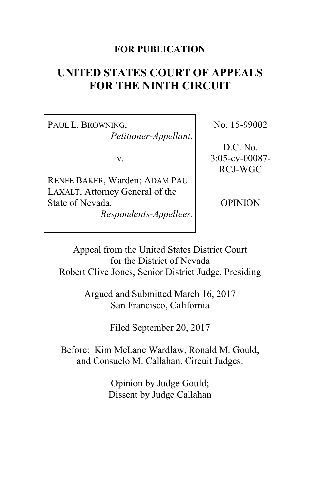## **FOR PUBLICATION**

# **UNITED STATES COURT OF APPEALS FOR THE NINTH CIRCUIT**

PAUL L. BROWNING, *Petitioner-Appellant*,

v.

RENEE BAKER, Warden; ADAM PAUL LAXALT, Attorney General of the State of Nevada,

*Respondents-Appellees.*

No. 15-99002

D.C. No. 3:05-cv-00087- RCJ-WGC

**OPINION** 

Appeal from the United States District Court for the District of Nevada Robert Clive Jones, Senior District Judge, Presiding

> Argued and Submitted March 16, 2017 San Francisco, California

> > Filed September 20, 2017

Before: Kim McLane Wardlaw, Ronald M. Gould, and Consuelo M. Callahan, Circuit Judges.

> Opinion by Judge Gould; Dissent by Judge Callahan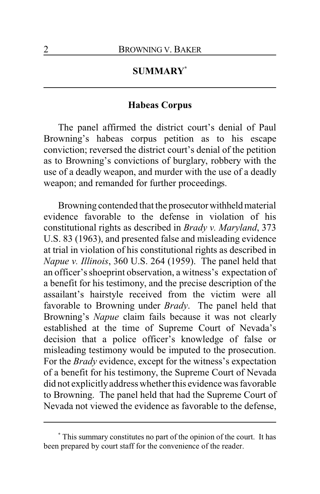## **SUMMARY\***

## **Habeas Corpus**

The panel affirmed the district court's denial of Paul Browning's habeas corpus petition as to his escape conviction; reversed the district court's denial of the petition as to Browning's convictions of burglary, robbery with the use of a deadly weapon, and murder with the use of a deadly weapon; and remanded for further proceedings.

Browning contended that the prosecutor withheld material evidence favorable to the defense in violation of his constitutional rights as described in *Brady v. Maryland*, 373 U.S. 83 (1963), and presented false and misleading evidence at trial in violation of his constitutional rights as described in *Napue v. Illinois*, 360 U.S. 264 (1959). The panel held that an officer's shoeprint observation, a witness's expectation of a benefit for his testimony, and the precise description of the assailant's hairstyle received from the victim were all favorable to Browning under *Brady*. The panel held that Browning's *Napue* claim fails because it was not clearly established at the time of Supreme Court of Nevada's decision that a police officer's knowledge of false or misleading testimony would be imputed to the prosecution. For the *Brady* evidence, except for the witness's expectation of a benefit for his testimony, the Supreme Court of Nevada did not explicitly address whether this evidence was favorable to Browning. The panel held that had the Supreme Court of Nevada not viewed the evidence as favorable to the defense,

**<sup>\*</sup>** This summary constitutes no part of the opinion of the court. It has been prepared by court staff for the convenience of the reader.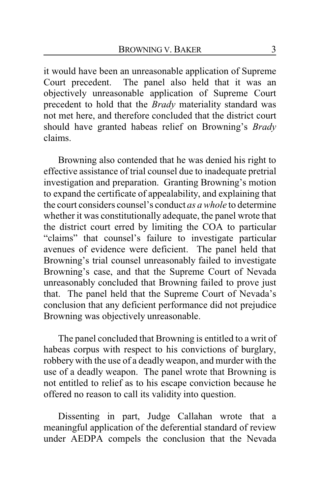it would have been an unreasonable application of Supreme Court precedent. The panel also held that it was an objectively unreasonable application of Supreme Court precedent to hold that the *Brady* materiality standard was not met here, and therefore concluded that the district court should have granted habeas relief on Browning's *Brady* claims.

Browning also contended that he was denied his right to effective assistance of trial counsel due to inadequate pretrial investigation and preparation. Granting Browning's motion to expand the certificate of appealability, and explaining that the court considers counsel's conduct *as a whole* to determine whether it was constitutionally adequate, the panel wrote that the district court erred by limiting the COA to particular "claims" that counsel's failure to investigate particular avenues of evidence were deficient. The panel held that Browning's trial counsel unreasonably failed to investigate Browning's case, and that the Supreme Court of Nevada unreasonably concluded that Browning failed to prove just that. The panel held that the Supreme Court of Nevada's conclusion that any deficient performance did not prejudice Browning was objectively unreasonable.

The panel concluded that Browning is entitled to a writ of habeas corpus with respect to his convictions of burglary, robbery with the use of a deadlyweapon, and murder with the use of a deadly weapon. The panel wrote that Browning is not entitled to relief as to his escape conviction because he offered no reason to call its validity into question.

Dissenting in part, Judge Callahan wrote that a meaningful application of the deferential standard of review under AEDPA compels the conclusion that the Nevada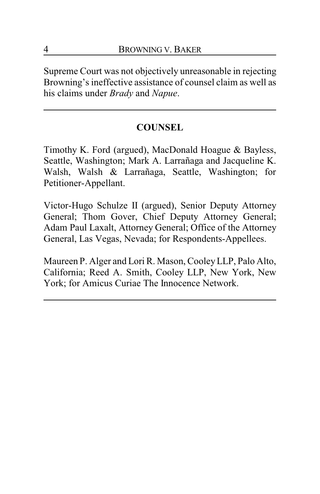Supreme Court was not objectively unreasonable in rejecting Browning's ineffective assistance of counsel claim as well as his claims under *Brady* and *Napue*.

## **COUNSEL**

Timothy K. Ford (argued), MacDonald Hoague & Bayless, Seattle, Washington; Mark A. Larrañaga and Jacqueline K. Walsh, Walsh & Larrañaga, Seattle, Washington; for Petitioner-Appellant.

Victor-Hugo Schulze II (argued), Senior Deputy Attorney General; Thom Gover, Chief Deputy Attorney General; Adam Paul Laxalt, Attorney General; Office of the Attorney General, Las Vegas, Nevada; for Respondents-Appellees.

Maureen P. Alger and Lori R. Mason, CooleyLLP, Palo Alto, California; Reed A. Smith, Cooley LLP, New York, New York; for Amicus Curiae The Innocence Network.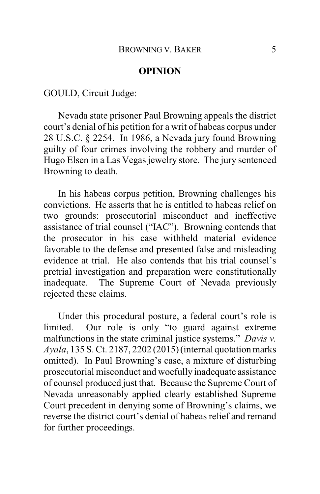#### **OPINION**

GOULD, Circuit Judge:

Nevada state prisoner Paul Browning appeals the district court's denial of his petition for a writ of habeas corpus under 28 U.S.C. § 2254. In 1986, a Nevada jury found Browning guilty of four crimes involving the robbery and murder of Hugo Elsen in a Las Vegas jewelry store. The jury sentenced Browning to death.

In his habeas corpus petition, Browning challenges his convictions. He asserts that he is entitled to habeas relief on two grounds: prosecutorial misconduct and ineffective assistance of trial counsel ("IAC"). Browning contends that the prosecutor in his case withheld material evidence favorable to the defense and presented false and misleading evidence at trial. He also contends that his trial counsel's pretrial investigation and preparation were constitutionally inadequate. The Supreme Court of Nevada previously rejected these claims.

Under this procedural posture, a federal court's role is limited. Our role is only "to guard against extreme malfunctions in the state criminal justice systems." *Davis v. Ayala*, 135 S. Ct. 2187, 2202 (2015) (internal quotation marks omitted). In Paul Browning's case, a mixture of disturbing prosecutorial misconduct and woefully inadequate assistance of counsel produced just that. Because the Supreme Court of Nevada unreasonably applied clearly established Supreme Court precedent in denying some of Browning's claims, we reverse the district court's denial of habeas relief and remand for further proceedings.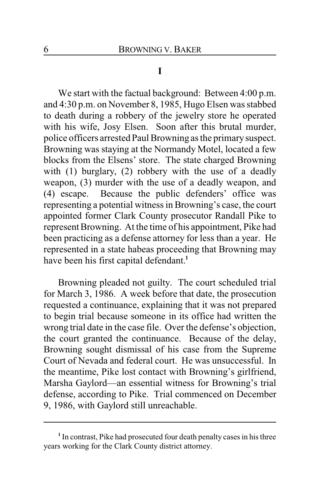#### **I**

We start with the factual background: Between 4:00 p.m. and 4:30 p.m. on November 8, 1985, Hugo Elsen was stabbed to death during a robbery of the jewelry store he operated with his wife, Josy Elsen. Soon after this brutal murder, police officers arrested Paul Browning as the primarysuspect. Browning was staying at the Normandy Motel, located a few blocks from the Elsens' store. The state charged Browning with (1) burglary, (2) robbery with the use of a deadly weapon, (3) murder with the use of a deadly weapon, and (4) escape. Because the public defenders' office was representing a potential witness in Browning's case, the court appointed former Clark County prosecutor Randall Pike to represent Browning. At the time of his appointment, Pike had been practicing as a defense attorney for less than a year. He represented in a state habeas proceeding that Browning may have been his first capital defendant.**<sup>1</sup>**

Browning pleaded not guilty. The court scheduled trial for March 3, 1986. A week before that date, the prosecution requested a continuance, explaining that it was not prepared to begin trial because someone in its office had written the wrong trial date in the case file. Over the defense's objection, the court granted the continuance. Because of the delay, Browning sought dismissal of his case from the Supreme Court of Nevada and federal court. He was unsuccessful. In the meantime, Pike lost contact with Browning's girlfriend, Marsha Gaylord—an essential witness for Browning's trial defense, according to Pike. Trial commenced on December 9, 1986, with Gaylord still unreachable.

<sup>&</sup>lt;sup>1</sup> In contrast, Pike had prosecuted four death penalty cases in his three years working for the Clark County district attorney.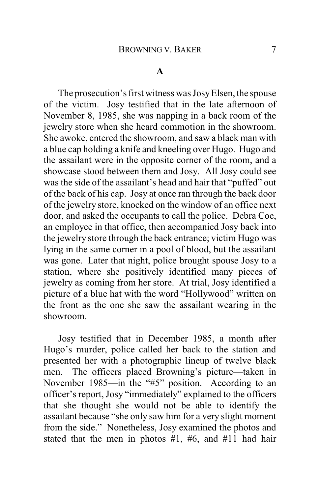#### **A**

The prosecution's first witness was JosyElsen, the spouse of the victim. Josy testified that in the late afternoon of November 8, 1985, she was napping in a back room of the jewelry store when she heard commotion in the showroom. She awoke, entered the showroom, and saw a black man with a blue cap holding a knife and kneeling over Hugo. Hugo and the assailant were in the opposite corner of the room, and a showcase stood between them and Josy. All Josy could see was the side of the assailant's head and hair that "puffed" out of the back of his cap. Josy at once ran through the back door of the jewelry store, knocked on the window of an office next door, and asked the occupants to call the police. Debra Coe, an employee in that office, then accompanied Josy back into the jewelry store through the back entrance; victim Hugo was lying in the same corner in a pool of blood, but the assailant was gone. Later that night, police brought spouse Josy to a station, where she positively identified many pieces of jewelry as coming from her store. At trial, Josy identified a picture of a blue hat with the word "Hollywood" written on the front as the one she saw the assailant wearing in the showroom.

Josy testified that in December 1985, a month after Hugo's murder, police called her back to the station and presented her with a photographic lineup of twelve black men. The officers placed Browning's picture—taken in November 1985—in the "#5" position. According to an officer's report, Josy "immediately" explained to the officers that she thought she would not be able to identify the assailant because "she only saw him for a very slight moment from the side." Nonetheless, Josy examined the photos and stated that the men in photos  $#1, #6, and #11$  had hair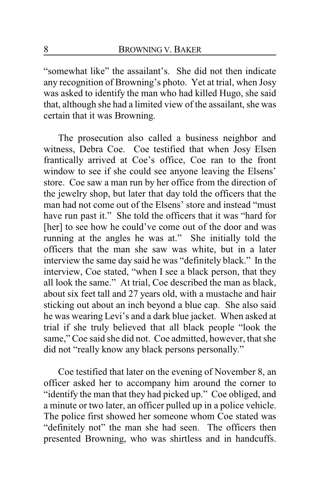"somewhat like" the assailant's. She did not then indicate any recognition of Browning's photo. Yet at trial, when Josy was asked to identify the man who had killed Hugo, she said that, although she had a limited view of the assailant, she was certain that it was Browning.

The prosecution also called a business neighbor and witness, Debra Coe. Coe testified that when Josy Elsen frantically arrived at Coe's office, Coe ran to the front window to see if she could see anyone leaving the Elsens' store. Coe saw a man run by her office from the direction of the jewelry shop, but later that day told the officers that the man had not come out of the Elsens' store and instead "must have run past it." She told the officers that it was "hard for [her] to see how he could've come out of the door and was running at the angles he was at." She initially told the officers that the man she saw was white, but in a later interview the same day said he was "definitely black." In the interview, Coe stated, "when I see a black person, that they all look the same." At trial, Coe described the man as black, about six feet tall and 27 years old, with a mustache and hair sticking out about an inch beyond a blue cap. She also said he was wearing Levi's and a dark blue jacket. When asked at trial if she truly believed that all black people "look the same," Coe said she did not. Coe admitted, however, that she did not "really know any black persons personally."

Coe testified that later on the evening of November 8, an officer asked her to accompany him around the corner to "identify the man that they had picked up." Coe obliged, and a minute or two later, an officer pulled up in a police vehicle. The police first showed her someone whom Coe stated was "definitely not" the man she had seen. The officers then presented Browning, who was shirtless and in handcuffs.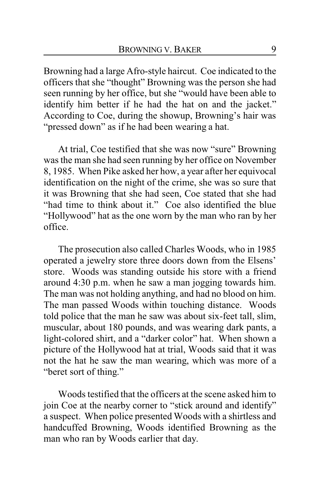Browning had a large Afro-style haircut. Coe indicated to the officers that she "thought" Browning was the person she had seen running by her office, but she "would have been able to identify him better if he had the hat on and the jacket." According to Coe, during the showup, Browning's hair was "pressed down" as if he had been wearing a hat.

At trial, Coe testified that she was now "sure" Browning was the man she had seen running by her office on November 8, 1985. When Pike asked her how, a year after her equivocal identification on the night of the crime, she was so sure that it was Browning that she had seen, Coe stated that she had "had time to think about it." Coe also identified the blue "Hollywood" hat as the one worn by the man who ran by her office.

The prosecution also called Charles Woods, who in 1985 operated a jewelry store three doors down from the Elsens' store. Woods was standing outside his store with a friend around 4:30 p.m. when he saw a man jogging towards him. The man was not holding anything, and had no blood on him. The man passed Woods within touching distance. Woods told police that the man he saw was about six-feet tall, slim, muscular, about 180 pounds, and was wearing dark pants, a light-colored shirt, and a "darker color" hat. When shown a picture of the Hollywood hat at trial, Woods said that it was not the hat he saw the man wearing, which was more of a "beret sort of thing."

Woods testified that the officers at the scene asked him to join Coe at the nearby corner to "stick around and identify" a suspect. When police presented Woods with a shirtless and handcuffed Browning, Woods identified Browning as the man who ran by Woods earlier that day.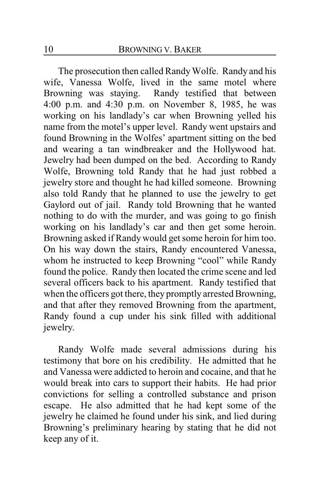The prosecution then called Randy Wolfe. Randy and his wife, Vanessa Wolfe, lived in the same motel where Browning was staying. Randy testified that between 4:00 p.m. and 4:30 p.m. on November 8, 1985, he was working on his landlady's car when Browning yelled his name from the motel's upper level. Randy went upstairs and found Browning in the Wolfes' apartment sitting on the bed and wearing a tan windbreaker and the Hollywood hat. Jewelry had been dumped on the bed. According to Randy Wolfe, Browning told Randy that he had just robbed a jewelry store and thought he had killed someone. Browning also told Randy that he planned to use the jewelry to get Gaylord out of jail. Randy told Browning that he wanted nothing to do with the murder, and was going to go finish working on his landlady's car and then get some heroin. Browning asked if Randy would get some heroin for him too. On his way down the stairs, Randy encountered Vanessa, whom he instructed to keep Browning "cool" while Randy found the police. Randy then located the crime scene and led several officers back to his apartment. Randy testified that when the officers got there, they promptly arrested Browning, and that after they removed Browning from the apartment, Randy found a cup under his sink filled with additional jewelry.

Randy Wolfe made several admissions during his testimony that bore on his credibility. He admitted that he and Vanessa were addicted to heroin and cocaine, and that he would break into cars to support their habits. He had prior convictions for selling a controlled substance and prison escape. He also admitted that he had kept some of the jewelry he claimed he found under his sink, and lied during Browning's preliminary hearing by stating that he did not keep any of it.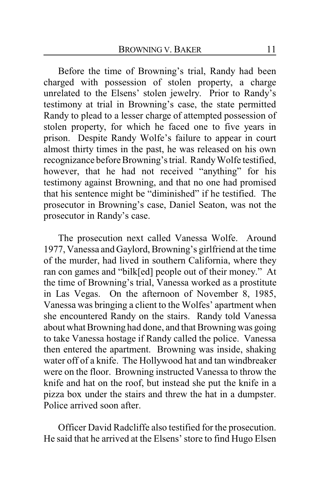Before the time of Browning's trial, Randy had been charged with possession of stolen property, a charge unrelated to the Elsens' stolen jewelry. Prior to Randy's testimony at trial in Browning's case, the state permitted Randy to plead to a lesser charge of attempted possession of stolen property, for which he faced one to five years in prison. Despite Randy Wolfe's failure to appear in court almost thirty times in the past, he was released on his own recognizance before Browning's trial. Randy Wolfe testified, however, that he had not received "anything" for his testimony against Browning, and that no one had promised that his sentence might be "diminished" if he testified. The prosecutor in Browning's case, Daniel Seaton, was not the prosecutor in Randy's case.

The prosecution next called Vanessa Wolfe. Around 1977, Vanessa and Gaylord, Browning's girlfriend at the time of the murder, had lived in southern California, where they ran con games and "bilk[ed] people out of their money." At the time of Browning's trial, Vanessa worked as a prostitute in Las Vegas. On the afternoon of November 8, 1985, Vanessa was bringing a client to the Wolfes' apartment when she encountered Randy on the stairs. Randy told Vanessa about what Browning had done, and that Browning was going to take Vanessa hostage if Randy called the police. Vanessa then entered the apartment. Browning was inside, shaking water off of a knife. The Hollywood hat and tan windbreaker were on the floor. Browning instructed Vanessa to throw the knife and hat on the roof, but instead she put the knife in a pizza box under the stairs and threw the hat in a dumpster. Police arrived soon after.

Officer David Radcliffe also testified for the prosecution. He said that he arrived at the Elsens' store to find Hugo Elsen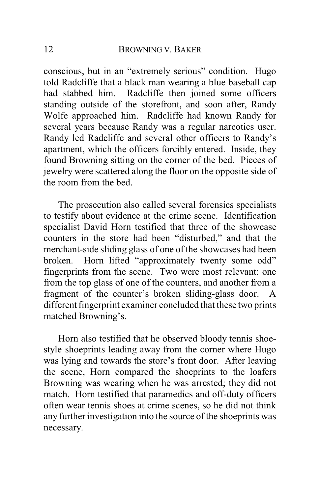conscious, but in an "extremely serious" condition. Hugo told Radcliffe that a black man wearing a blue baseball cap had stabbed him. Radcliffe then joined some officers standing outside of the storefront, and soon after, Randy Wolfe approached him. Radcliffe had known Randy for several years because Randy was a regular narcotics user. Randy led Radcliffe and several other officers to Randy's apartment, which the officers forcibly entered. Inside, they found Browning sitting on the corner of the bed. Pieces of jewelry were scattered along the floor on the opposite side of the room from the bed.

The prosecution also called several forensics specialists to testify about evidence at the crime scene. Identification specialist David Horn testified that three of the showcase counters in the store had been "disturbed," and that the merchant-side sliding glass of one of the showcases had been broken. Horn lifted "approximately twenty some odd" fingerprints from the scene. Two were most relevant: one from the top glass of one of the counters, and another from a fragment of the counter's broken sliding-glass door. A different fingerprint examiner concluded that these two prints matched Browning's.

Horn also testified that he observed bloody tennis shoestyle shoeprints leading away from the corner where Hugo was lying and towards the store's front door. After leaving the scene, Horn compared the shoeprints to the loafers Browning was wearing when he was arrested; they did not match. Horn testified that paramedics and off-duty officers often wear tennis shoes at crime scenes, so he did not think any further investigation into the source of the shoeprints was necessary.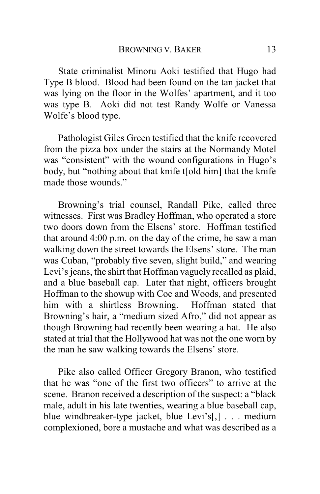State criminalist Minoru Aoki testified that Hugo had Type B blood. Blood had been found on the tan jacket that was lying on the floor in the Wolfes' apartment, and it too was type B. Aoki did not test Randy Wolfe or Vanessa Wolfe's blood type.

Pathologist Giles Green testified that the knife recovered from the pizza box under the stairs at the Normandy Motel was "consistent" with the wound configurations in Hugo's body, but "nothing about that knife t[old him] that the knife made those wounds."

Browning's trial counsel, Randall Pike, called three witnesses. First was Bradley Hoffman, who operated a store two doors down from the Elsens' store. Hoffman testified that around 4:00 p.m. on the day of the crime, he saw a man walking down the street towards the Elsens' store. The man was Cuban, "probably five seven, slight build," and wearing Levi's jeans, the shirt that Hoffman vaguely recalled as plaid, and a blue baseball cap. Later that night, officers brought Hoffman to the showup with Coe and Woods, and presented him with a shirtless Browning. Hoffman stated that Browning's hair, a "medium sized Afro," did not appear as though Browning had recently been wearing a hat. He also stated at trial that the Hollywood hat was not the one worn by the man he saw walking towards the Elsens' store.

Pike also called Officer Gregory Branon, who testified that he was "one of the first two officers" to arrive at the scene. Branon received a description of the suspect: a "black male, adult in his late twenties, wearing a blue baseball cap, blue windbreaker-type jacket, blue Levi's[,] . . . medium complexioned, bore a mustache and what was described as a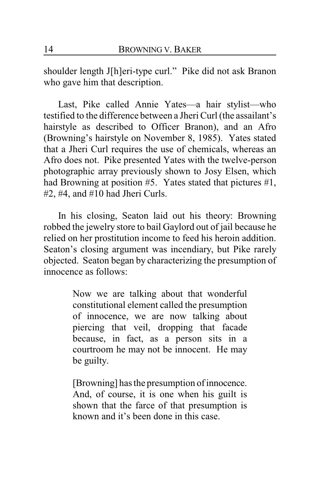shoulder length J[h]eri-type curl." Pike did not ask Branon who gave him that description.

Last, Pike called Annie Yates—a hair stylist—who testified to the difference between a Jheri Curl (the assailant's hairstyle as described to Officer Branon), and an Afro (Browning's hairstyle on November 8, 1985). Yates stated that a Jheri Curl requires the use of chemicals, whereas an Afro does not. Pike presented Yates with the twelve-person photographic array previously shown to Josy Elsen, which had Browning at position #5. Yates stated that pictures #1, #2, #4, and #10 had Jheri Curls.

In his closing, Seaton laid out his theory: Browning robbed the jewelry store to bail Gaylord out of jail because he relied on her prostitution income to feed his heroin addition. Seaton's closing argument was incendiary, but Pike rarely objected. Seaton began by characterizing the presumption of innocence as follows:

> Now we are talking about that wonderful constitutional element called the presumption of innocence, we are now talking about piercing that veil, dropping that facade because, in fact, as a person sits in a courtroom he may not be innocent. He may be guilty.

> [Browning] has the presumption of innocence. And, of course, it is one when his guilt is shown that the farce of that presumption is known and it's been done in this case.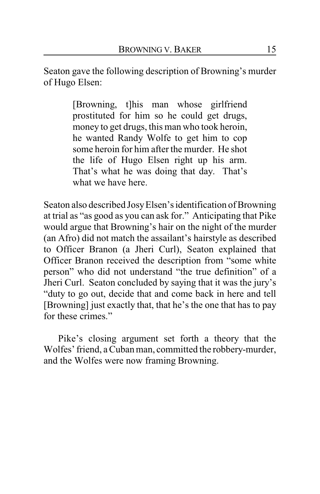Seaton gave the following description of Browning's murder of Hugo Elsen:

> [Browning, t]his man whose girlfriend prostituted for him so he could get drugs, money to get drugs, this man who took heroin, he wanted Randy Wolfe to get him to cop some heroin for him after the murder. He shot the life of Hugo Elsen right up his arm. That's what he was doing that day. That's what we have here.

Seaton also described JosyElsen's identification of Browning at trial as "as good as you can ask for." Anticipating that Pike would argue that Browning's hair on the night of the murder (an Afro) did not match the assailant's hairstyle as described to Officer Branon (a Jheri Curl), Seaton explained that Officer Branon received the description from "some white person" who did not understand "the true definition" of a Jheri Curl. Seaton concluded by saying that it was the jury's "duty to go out, decide that and come back in here and tell [Browning] just exactly that, that he's the one that has to pay for these crimes."

Pike's closing argument set forth a theory that the Wolfes' friend, a Cuban man, committed the robbery-murder, and the Wolfes were now framing Browning.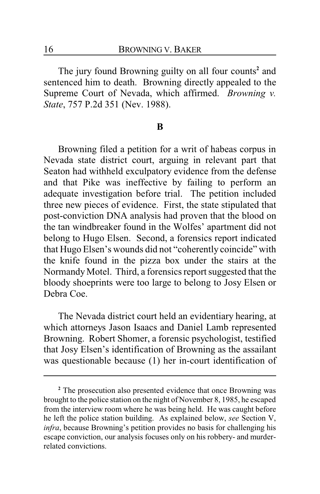The jury found Browning guilty on all four counts**<sup>2</sup>** and sentenced him to death. Browning directly appealed to the Supreme Court of Nevada, which affirmed. *Browning v. State*, 757 P.2d 351 (Nev. 1988).

#### **B**

Browning filed a petition for a writ of habeas corpus in Nevada state district court, arguing in relevant part that Seaton had withheld exculpatory evidence from the defense and that Pike was ineffective by failing to perform an adequate investigation before trial. The petition included three new pieces of evidence. First, the state stipulated that post-conviction DNA analysis had proven that the blood on the tan windbreaker found in the Wolfes' apartment did not belong to Hugo Elsen. Second, a forensics report indicated that Hugo Elsen's wounds did not "coherently coincide" with the knife found in the pizza box under the stairs at the Normandy Motel. Third, a forensics report suggested that the bloody shoeprints were too large to belong to Josy Elsen or Debra Coe.

The Nevada district court held an evidentiary hearing, at which attorneys Jason Isaacs and Daniel Lamb represented Browning. Robert Shomer, a forensic psychologist, testified that Josy Elsen's identification of Browning as the assailant was questionable because (1) her in-court identification of

**<sup>2</sup>** The prosecution also presented evidence that once Browning was brought to the police station on the night of November 8, 1985, he escaped from the interview room where he was being held. He was caught before he left the police station building. As explained below, *see* Section V, *infra*, because Browning's petition provides no basis for challenging his escape conviction, our analysis focuses only on his robbery- and murderrelated convictions.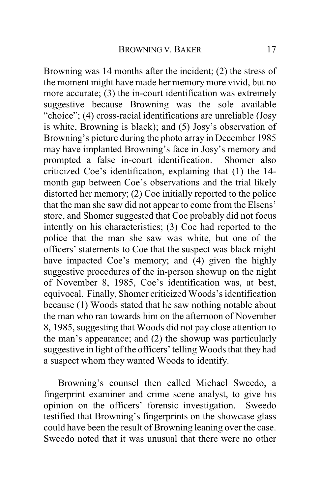Browning was 14 months after the incident; (2) the stress of the moment might have made her memory more vivid, but no more accurate; (3) the in-court identification was extremely suggestive because Browning was the sole available "choice"; (4) cross-racial identifications are unreliable (Josy is white, Browning is black); and (5) Josy's observation of Browning's picture during the photo array in December 1985 may have implanted Browning's face in Josy's memory and prompted a false in-court identification. Shomer also criticized Coe's identification, explaining that (1) the 14 month gap between Coe's observations and the trial likely distorted her memory; (2) Coe initially reported to the police that the man she saw did not appear to come from the Elsens' store, and Shomer suggested that Coe probably did not focus intently on his characteristics; (3) Coe had reported to the police that the man she saw was white, but one of the officers' statements to Coe that the suspect was black might have impacted Coe's memory; and (4) given the highly suggestive procedures of the in-person showup on the night of November 8, 1985, Coe's identification was, at best, equivocal. Finally, Shomer criticized Woods's identification because (1) Woods stated that he saw nothing notable about the man who ran towards him on the afternoon of November 8, 1985, suggesting that Woods did not pay close attention to the man's appearance; and (2) the showup was particularly suggestive in light of the officers' telling Woods that they had a suspect whom they wanted Woods to identify.

Browning's counsel then called Michael Sweedo, a fingerprint examiner and crime scene analyst, to give his opinion on the officers' forensic investigation. Sweedo testified that Browning's fingerprints on the showcase glass could have been the result of Browning leaning over the case. Sweedo noted that it was unusual that there were no other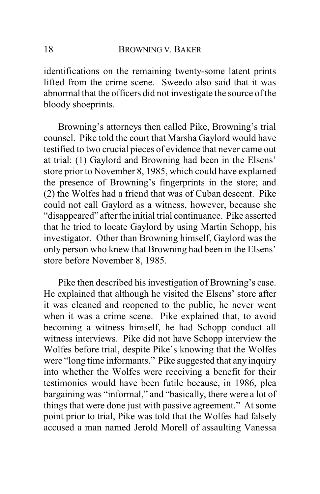identifications on the remaining twenty-some latent prints lifted from the crime scene. Sweedo also said that it was abnormal that the officers did not investigate the source of the bloody shoeprints.

Browning's attorneys then called Pike, Browning's trial counsel. Pike told the court that Marsha Gaylord would have testified to two crucial pieces of evidence that never came out at trial: (1) Gaylord and Browning had been in the Elsens' store prior to November 8, 1985, which could have explained the presence of Browning's fingerprints in the store; and (2) the Wolfes had a friend that was of Cuban descent. Pike could not call Gaylord as a witness, however, because she "disappeared" after the initial trial continuance. Pike asserted that he tried to locate Gaylord by using Martin Schopp, his investigator. Other than Browning himself, Gaylord was the only person who knew that Browning had been in the Elsens' store before November 8, 1985.

Pike then described his investigation of Browning's case. He explained that although he visited the Elsens' store after it was cleaned and reopened to the public, he never went when it was a crime scene. Pike explained that, to avoid becoming a witness himself, he had Schopp conduct all witness interviews. Pike did not have Schopp interview the Wolfes before trial, despite Pike's knowing that the Wolfes were "long time informants." Pike suggested that any inquiry into whether the Wolfes were receiving a benefit for their testimonies would have been futile because, in 1986, plea bargaining was "informal," and "basically, there were a lot of things that were done just with passive agreement." At some point prior to trial, Pike was told that the Wolfes had falsely accused a man named Jerold Morell of assaulting Vanessa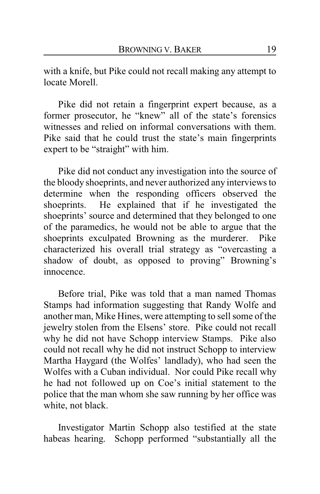with a knife, but Pike could not recall making any attempt to locate Morell.

Pike did not retain a fingerprint expert because, as a former prosecutor, he "knew" all of the state's forensics witnesses and relied on informal conversations with them. Pike said that he could trust the state's main fingerprints expert to be "straight" with him.

Pike did not conduct any investigation into the source of the bloody shoeprints, and never authorized any interviews to determine when the responding officers observed the shoeprints. He explained that if he investigated the shoeprints' source and determined that they belonged to one of the paramedics, he would not be able to argue that the shoeprints exculpated Browning as the murderer. Pike characterized his overall trial strategy as "overcasting a shadow of doubt, as opposed to proving" Browning's innocence.

Before trial, Pike was told that a man named Thomas Stamps had information suggesting that Randy Wolfe and another man, Mike Hines, were attempting to sell some of the jewelry stolen from the Elsens' store. Pike could not recall why he did not have Schopp interview Stamps. Pike also could not recall why he did not instruct Schopp to interview Martha Haygard (the Wolfes' landlady), who had seen the Wolfes with a Cuban individual. Nor could Pike recall why he had not followed up on Coe's initial statement to the police that the man whom she saw running by her office was white, not black.

Investigator Martin Schopp also testified at the state habeas hearing. Schopp performed "substantially all the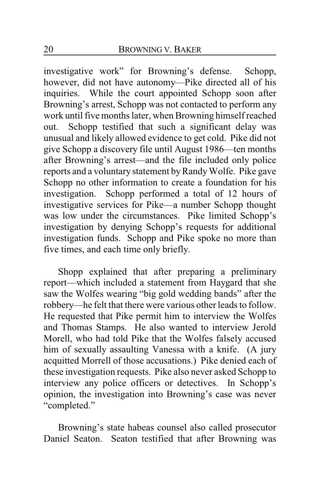investigative work" for Browning's defense. Schopp, however, did not have autonomy—Pike directed all of his inquiries. While the court appointed Schopp soon after Browning's arrest, Schopp was not contacted to perform any work until five months later, when Browning himself reached out. Schopp testified that such a significant delay was unusual and likely allowed evidence to get cold. Pike did not give Schopp a discovery file until August 1986—ten months after Browning's arrest—and the file included only police reports and a voluntary statement by Randy Wolfe. Pike gave Schopp no other information to create a foundation for his investigation. Schopp performed a total of 12 hours of investigative services for Pike—a number Schopp thought was low under the circumstances. Pike limited Schopp's investigation by denying Schopp's requests for additional investigation funds. Schopp and Pike spoke no more than five times, and each time only briefly.

Shopp explained that after preparing a preliminary report—which included a statement from Haygard that she saw the Wolfes wearing "big gold wedding bands" after the robbery—he felt that there were various other leads to follow. He requested that Pike permit him to interview the Wolfes and Thomas Stamps. He also wanted to interview Jerold Morell, who had told Pike that the Wolfes falsely accused him of sexually assaulting Vanessa with a knife. (A jury acquitted Morrell of those accusations.) Pike denied each of these investigation requests. Pike also never asked Schopp to interview any police officers or detectives. In Schopp's opinion, the investigation into Browning's case was never "completed."

Browning's state habeas counsel also called prosecutor Daniel Seaton. Seaton testified that after Browning was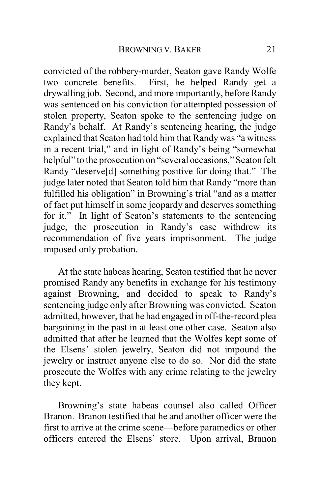convicted of the robbery-murder, Seaton gave Randy Wolfe two concrete benefits. First, he helped Randy get a drywalling job. Second, and more importantly, before Randy was sentenced on his conviction for attempted possession of stolen property, Seaton spoke to the sentencing judge on Randy's behalf. At Randy's sentencing hearing, the judge explained that Seaton had told him that Randy was "a witness in a recent trial," and in light of Randy's being "somewhat helpful" to the prosecution on "several occasions," Seaton felt Randy "deserve[d] something positive for doing that." The judge later noted that Seaton told him that Randy "more than fulfilled his obligation" in Browning's trial "and as a matter of fact put himself in some jeopardy and deserves something for it." In light of Seaton's statements to the sentencing judge, the prosecution in Randy's case withdrew its recommendation of five years imprisonment. The judge imposed only probation.

At the state habeas hearing, Seaton testified that he never promised Randy any benefits in exchange for his testimony against Browning, and decided to speak to Randy's sentencing judge only after Browning was convicted. Seaton admitted, however, that he had engaged in off-the-record plea bargaining in the past in at least one other case. Seaton also admitted that after he learned that the Wolfes kept some of the Elsens' stolen jewelry, Seaton did not impound the jewelry or instruct anyone else to do so. Nor did the state prosecute the Wolfes with any crime relating to the jewelry they kept.

Browning's state habeas counsel also called Officer Branon. Branon testified that he and another officer were the first to arrive at the crime scene—before paramedics or other officers entered the Elsens' store. Upon arrival, Branon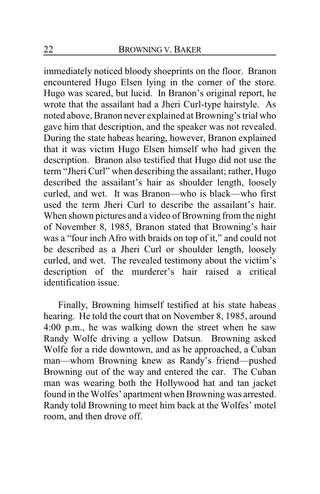immediately noticed bloody shoeprints on the floor. Branon encountered Hugo Elsen lying in the corner of the store. Hugo was scared, but lucid. In Branon's original report, he wrote that the assailant had a Jheri Curl-type hairstyle. As noted above, Branon never explained at Browning's trial who gave him that description, and the speaker was not revealed. During the state habeas hearing, however, Branon explained that it was victim Hugo Elsen himself who had given the description. Branon also testified that Hugo did not use the term "Jheri Curl" when describing the assailant; rather, Hugo described the assailant's hair as shoulder length, loosely curled, and wet. It was Branon—who is black—who first used the term Jheri Curl to describe the assailant's hair. When shown pictures and a video of Browning from the night of November 8, 1985, Branon stated that Browning's hair was a "four inch Afro with braids on top of it," and could not be described as a Jheri Curl or shoulder length, loosely curled, and wet. The revealed testimony about the victim's description of the murderer's hair raised a critical identification issue.

Finally, Browning himself testified at his state habeas hearing. He told the court that on November 8, 1985, around 4:00 p.m., he was walking down the street when he saw Randy Wolfe driving a yellow Datsun. Browning asked Wolfe for a ride downtown, and as he approached, a Cuban man—whom Browning knew as Randy's friend—pushed Browning out of the way and entered the car. The Cuban man was wearing both the Hollywood hat and tan jacket found in the Wolfes' apartment when Browning was arrested. Randy told Browning to meet him back at the Wolfes' motel room, and then drove off.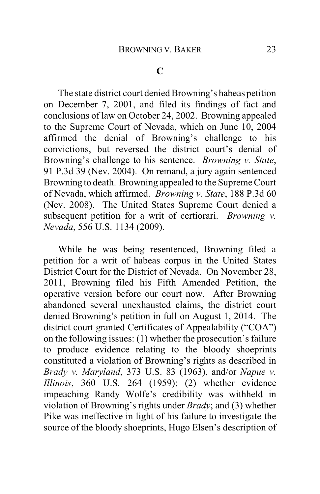## **C**

The state district court denied Browning's habeas petition on December 7, 2001, and filed its findings of fact and conclusions of law on October 24, 2002. Browning appealed to the Supreme Court of Nevada, which on June 10, 2004 affirmed the denial of Browning's challenge to his convictions, but reversed the district court's denial of Browning's challenge to his sentence. *Browning v. State*, 91 P.3d 39 (Nev. 2004). On remand, a jury again sentenced Browning to death. Browning appealed to the Supreme Court of Nevada, which affirmed. *Browning v. State*, 188 P.3d 60 (Nev. 2008). The United States Supreme Court denied a subsequent petition for a writ of certiorari. *Browning v. Nevada*, 556 U.S. 1134 (2009).

While he was being resentenced, Browning filed a petition for a writ of habeas corpus in the United States District Court for the District of Nevada. On November 28, 2011, Browning filed his Fifth Amended Petition, the operative version before our court now. After Browning abandoned several unexhausted claims, the district court denied Browning's petition in full on August 1, 2014. The district court granted Certificates of Appealability ("COA") on the following issues: (1) whether the prosecution's failure to produce evidence relating to the bloody shoeprints constituted a violation of Browning's rights as described in *Brady v. Maryland*, 373 U.S. 83 (1963), and/or *Napue v. Illinois*, 360 U.S. 264 (1959); (2) whether evidence impeaching Randy Wolfe's credibility was withheld in violation of Browning's rights under *Brady*; and (3) whether Pike was ineffective in light of his failure to investigate the source of the bloody shoeprints, Hugo Elsen's description of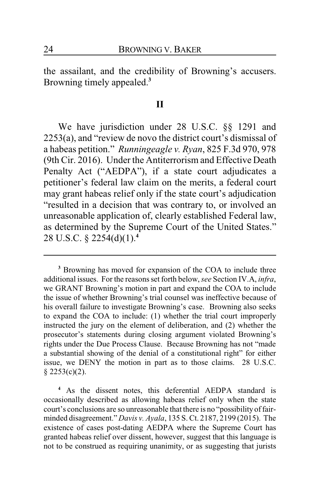the assailant, and the credibility of Browning's accusers. Browning timely appealed.**<sup>3</sup>**

#### **II**

We have jurisdiction under 28 U.S.C. §§ 1291 and 2253(a), and "review de novo the district court's dismissal of a habeas petition." *Runningeagle v. Ryan*, 825 F.3d 970, 978 (9th Cir. 2016). Under the Antiterrorism and Effective Death Penalty Act ("AEDPA"), if a state court adjudicates a petitioner's federal law claim on the merits, a federal court may grant habeas relief only if the state court's adjudication "resulted in a decision that was contrary to, or involved an unreasonable application of, clearly established Federal law, as determined by the Supreme Court of the United States." 28 U.S.C. § 2254(d)(1).**<sup>4</sup>**

**<sup>3</sup>** Browning has moved for expansion of the COA to include three additional issues. For the reasons set forth below, *see* Section IV.A, *infra*, we GRANT Browning's motion in part and expand the COA to include the issue of whether Browning's trial counsel was ineffective because of his overall failure to investigate Browning's case. Browning also seeks to expand the COA to include: (1) whether the trial court improperly instructed the jury on the element of deliberation, and (2) whether the prosecutor's statements during closing argument violated Browning's rights under the Due Process Clause. Because Browning has not "made a substantial showing of the denial of a constitutional right" for either issue, we DENY the motion in part as to those claims. 28 U.S.C.  $§$  2253(c)(2).

**<sup>4</sup>** As the dissent notes, this deferential AEDPA standard is occasionally described as allowing habeas relief only when the state court's conclusions are so unreasonable that there is no "possibility of fairminded disagreement." *Davis v. Ayala*, 135 S. Ct. 2187, 2199 (2015). The existence of cases post-dating AEDPA where the Supreme Court has granted habeas relief over dissent, however, suggest that this language is not to be construed as requiring unanimity, or as suggesting that jurists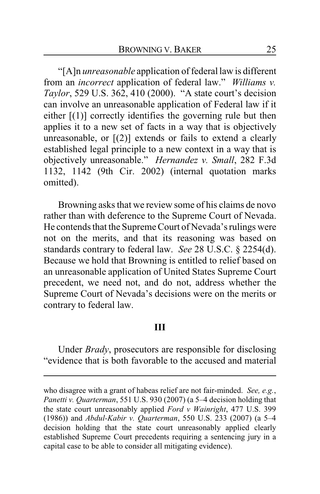"[A]n *unreasonable* application of federal law is different from an *incorrect* application of federal law." *Williams v. Taylor*, 529 U.S. 362, 410 (2000). "A state court's decision can involve an unreasonable application of Federal law if it either  $[(1)]$  correctly identifies the governing rule but then applies it to a new set of facts in a way that is objectively unreasonable, or [(2)] extends or fails to extend a clearly established legal principle to a new context in a way that is objectively unreasonable." *Hernandez v. Small*, 282 F.3d 1132, 1142 (9th Cir. 2002) (internal quotation marks omitted).

Browning asks that we review some of his claims de novo rather than with deference to the Supreme Court of Nevada. He contends that the Supreme Court of Nevada's rulings were not on the merits, and that its reasoning was based on standards contrary to federal law. *See* 28 U.S.C. § 2254(d). Because we hold that Browning is entitled to relief based on an unreasonable application of United States Supreme Court precedent, we need not, and do not, address whether the Supreme Court of Nevada's decisions were on the merits or contrary to federal law.

## **III**

Under *Brady*, prosecutors are responsible for disclosing "evidence that is both favorable to the accused and material

who disagree with a grant of habeas relief are not fair-minded. *See, e.g.*, *Panetti v. Quarterman*, 551 U.S. 930 (2007) (a 5–4 decision holding that the state court unreasonably applied *Ford v Wainright*, 477 U.S. 399 (1986)) and *Abdul-Kabir v. Quarterman*, 550 U.S. 233 (2007) (a 5–4 decision holding that the state court unreasonably applied clearly established Supreme Court precedents requiring a sentencing jury in a capital case to be able to consider all mitigating evidence).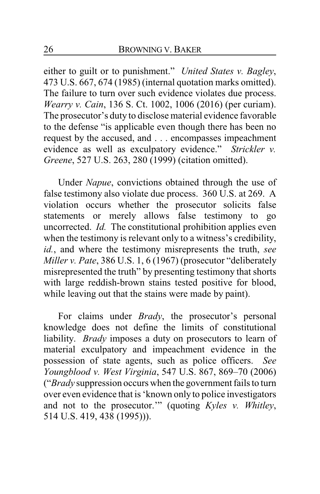either to guilt or to punishment." *United States v. Bagley*, 473 U.S. 667, 674 (1985) (internal quotation marks omitted). The failure to turn over such evidence violates due process. *Wearry v. Cain*, 136 S. Ct. 1002, 1006 (2016) (per curiam). The prosecutor's duty to disclose material evidence favorable to the defense "is applicable even though there has been no request by the accused, and . . . encompasses impeachment evidence as well as exculpatory evidence." *Strickler v. Greene*, 527 U.S. 263, 280 (1999) (citation omitted).

Under *Napue*, convictions obtained through the use of false testimony also violate due process. 360 U.S. at 269. A violation occurs whether the prosecutor solicits false statements or merely allows false testimony to go uncorrected. *Id.* The constitutional prohibition applies even when the testimony is relevant only to a witness's credibility, *id.*, and where the testimony misrepresents the truth, *see Miller v. Pate*, 386 U.S. 1, 6 (1967) (prosecutor "deliberately misrepresented the truth" by presenting testimony that shorts with large reddish-brown stains tested positive for blood, while leaving out that the stains were made by paint).

For claims under *Brady*, the prosecutor's personal knowledge does not define the limits of constitutional liability. *Brady* imposes a duty on prosecutors to learn of material exculpatory and impeachment evidence in the possession of state agents, such as police officers. *See Youngblood v. West Virginia*, 547 U.S. 867, 869–70 (2006) ("*Brady* suppression occurs when the government fails to turn over even evidence that is 'known only to police investigators and not to the prosecutor.'" (quoting *Kyles v. Whitley*, 514 U.S. 419, 438 (1995))).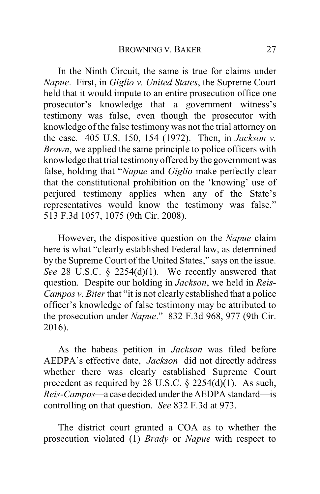In the Ninth Circuit, the same is true for claims under *Napue*. First, in *Giglio v. United States*, the Supreme Court held that it would impute to an entire prosecution office one prosecutor's knowledge that a government witness's testimony was false, even though the prosecutor with knowledge of the false testimony was not the trial attorney on the case*.* 405 U.S. 150, 154 (1972). Then, in *Jackson v. Brown*, we applied the same principle to police officers with knowledge that trial testimony offered by the government was false, holding that "*Napue* and *Giglio* make perfectly clear that the constitutional prohibition on the 'knowing' use of perjured testimony applies when any of the State's representatives would know the testimony was false." 513 F.3d 1057, 1075 (9th Cir. 2008).

However, the dispositive question on the *Napue* claim here is what "clearly established Federal law, as determined by the Supreme Court of the United States," says on the issue. *See* 28 U.S.C. § 2254(d)(1). We recently answered that question. Despite our holding in *Jackson*, we held in *Reis-Campos v. Biter* that "it is not clearly established that a police" officer's knowledge of false testimony may be attributed to the prosecution under *Napue*." 832 F.3d 968, 977 (9th Cir. 2016).

As the habeas petition in *Jackson* was filed before AEDPA's effective date, *Jackson* did not directly address whether there was clearly established Supreme Court precedent as required by 28 U.S.C. § 2254(d)(1). As such, *Reis-Campos*—a case decided under the AEDPA standard—is controlling on that question. *See* 832 F.3d at 973.

The district court granted a COA as to whether the prosecution violated (1) *Brady* or *Napue* with respect to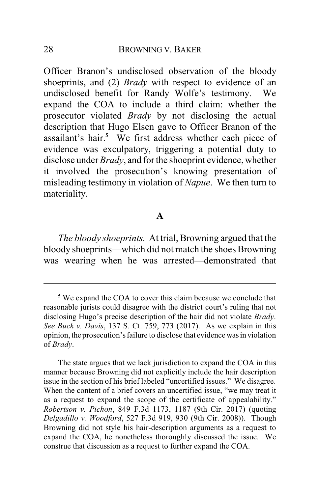Officer Branon's undisclosed observation of the bloody shoeprints, and (2) *Brady* with respect to evidence of an undisclosed benefit for Randy Wolfe's testimony. We expand the COA to include a third claim: whether the prosecutor violated *Brady* by not disclosing the actual description that Hugo Elsen gave to Officer Branon of the assailant's hair.**<sup>5</sup>** We first address whether each piece of evidence was exculpatory, triggering a potential duty to disclose under *Brady*, and for the shoeprint evidence, whether it involved the prosecution's knowing presentation of misleading testimony in violation of *Napue*. We then turn to materiality.

## **A**

*The bloody shoeprints.* At trial, Browning argued that the bloody shoeprints—which did not match the shoes Browning was wearing when he was arrested—demonstrated that

**<sup>5</sup>** We expand the COA to cover this claim because we conclude that reasonable jurists could disagree with the district court's ruling that not disclosing Hugo's precise description of the hair did not violate *Brady*. *See Buck v. Davis*, 137 S. Ct. 759, 773 (2017). As we explain in this opinion, the prosecution's failure to disclose that evidence was in violation of *Brady*.

The state argues that we lack jurisdiction to expand the COA in this manner because Browning did not explicitly include the hair description issue in the section of his brief labeled "uncertified issues." We disagree. When the content of a brief covers an uncertified issue, "we may treat it as a request to expand the scope of the certificate of appealability." *Robertson v. Pichon*, 849 F.3d 1173, 1187 (9th Cir. 2017) (quoting *Delgadillo v. Woodford*, 527 F.3d 919, 930 (9th Cir. 2008)). Though Browning did not style his hair-description arguments as a request to expand the COA, he nonetheless thoroughly discussed the issue. We construe that discussion as a request to further expand the COA.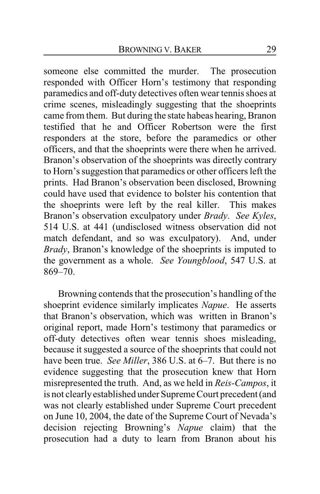someone else committed the murder. The prosecution responded with Officer Horn's testimony that responding paramedics and off-duty detectives often wear tennis shoes at crime scenes, misleadingly suggesting that the shoeprints came from them. But during the state habeas hearing, Branon testified that he and Officer Robertson were the first responders at the store, before the paramedics or other officers, and that the shoeprints were there when he arrived. Branon's observation of the shoeprints was directly contrary to Horn's suggestion that paramedics or other officers left the prints. Had Branon's observation been disclosed, Browning could have used that evidence to bolster his contention that the shoeprints were left by the real killer. This makes Branon's observation exculpatory under *Brady*. *See Kyles*, 514 U.S. at 441 (undisclosed witness observation did not match defendant, and so was exculpatory). And, under *Brady*, Branon's knowledge of the shoeprints is imputed to the government as a whole. *See Youngblood*, 547 U.S. at 869–70.

Browning contends that the prosecution's handling of the shoeprint evidence similarly implicates *Napue*. He asserts that Branon's observation, which was written in Branon's original report, made Horn's testimony that paramedics or off-duty detectives often wear tennis shoes misleading, because it suggested a source of the shoeprints that could not have been true. *See Miller*, 386 U.S. at 6–7. But there is no evidence suggesting that the prosecution knew that Horn misrepresented the truth. And, as we held in *Reis-Campos*, it is not clearlyestablished under Supreme Court precedent (and was not clearly established under Supreme Court precedent on June 10, 2004, the date of the Supreme Court of Nevada's decision rejecting Browning's *Napue* claim) that the prosecution had a duty to learn from Branon about his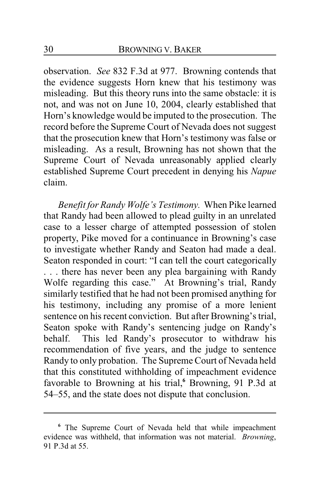observation. *See* 832 F.3d at 977. Browning contends that the evidence suggests Horn knew that his testimony was misleading. But this theory runs into the same obstacle: it is not, and was not on June 10, 2004, clearly established that Horn's knowledge would be imputed to the prosecution. The record before the Supreme Court of Nevada does not suggest that the prosecution knew that Horn's testimony was false or misleading. As a result, Browning has not shown that the Supreme Court of Nevada unreasonably applied clearly established Supreme Court precedent in denying his *Napue* claim.

*Benefit for Randy Wolfe's Testimony.* When Pike learned that Randy had been allowed to plead guilty in an unrelated case to a lesser charge of attempted possession of stolen property, Pike moved for a continuance in Browning's case to investigate whether Randy and Seaton had made a deal. Seaton responded in court: "I can tell the court categorically . . . there has never been any plea bargaining with Randy Wolfe regarding this case." At Browning's trial, Randy similarly testified that he had not been promised anything for his testimony, including any promise of a more lenient sentence on his recent conviction. But after Browning's trial, Seaton spoke with Randy's sentencing judge on Randy's behalf. This led Randy's prosecutor to withdraw his recommendation of five years, and the judge to sentence Randy to only probation. The Supreme Court of Nevada held that this constituted withholding of impeachment evidence favorable to Browning at his trial,**<sup>6</sup>** Browning, 91 P.3d at 54–55, and the state does not dispute that conclusion.

**<sup>6</sup>** The Supreme Court of Nevada held that while impeachment evidence was withheld, that information was not material. *Browning*, 91 P.3d at 55.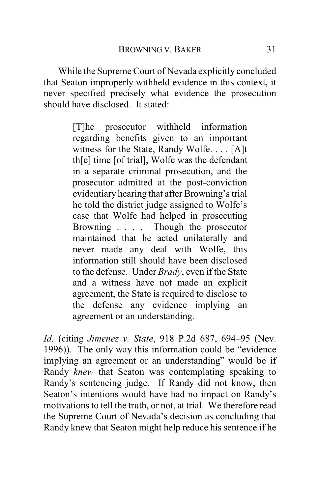While the Supreme Court of Nevada explicitly concluded that Seaton improperly withheld evidence in this context, it never specified precisely what evidence the prosecution should have disclosed. It stated:

> [T]he prosecutor withheld information regarding benefits given to an important witness for the State, Randy Wolfe. . . . [A]t th[e] time [of trial], Wolfe was the defendant in a separate criminal prosecution, and the prosecutor admitted at the post-conviction evidentiary hearing that after Browning's trial he told the district judge assigned to Wolfe's case that Wolfe had helped in prosecuting Browning . . . . Though the prosecutor maintained that he acted unilaterally and never made any deal with Wolfe, this information still should have been disclosed to the defense. Under *Brady*, even if the State and a witness have not made an explicit agreement, the State is required to disclose to the defense any evidence implying an agreement or an understanding.

*Id.* (citing *Jimenez v. State*, 918 P.2d 687, 694–95 (Nev. 1996)). The only way this information could be "evidence implying an agreement or an understanding" would be if Randy *knew* that Seaton was contemplating speaking to Randy's sentencing judge. If Randy did not know, then Seaton's intentions would have had no impact on Randy's motivations to tell the truth, or not, at trial. We therefore read the Supreme Court of Nevada's decision as concluding that Randy knew that Seaton might help reduce his sentence if he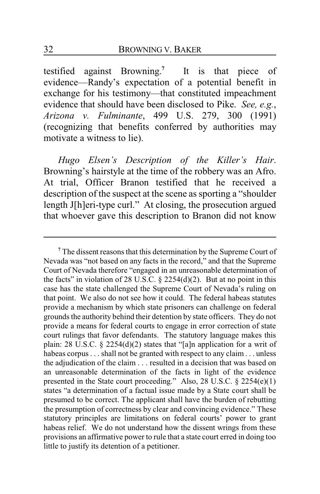testified against Browning. **7** It is that piece of evidence—Randy's expectation of a potential benefit in exchange for his testimony—that constituted impeachment evidence that should have been disclosed to Pike. *See, e.g.*, *Arizona v. Fulminante*, 499 U.S. 279, 300 (1991) (recognizing that benefits conferred by authorities may motivate a witness to lie).

*Hugo Elsen's Description of the Killer's Hair*. Browning's hairstyle at the time of the robbery was an Afro. At trial, Officer Branon testified that he received a description of the suspect at the scene as sporting a "shoulder length J[h]eri-type curl." At closing, the prosecution argued that whoever gave this description to Branon did not know

**<sup>7</sup>** The dissent reasons that this determination by the Supreme Court of Nevada was "not based on any facts in the record," and that the Supreme Court of Nevada therefore "engaged in an unreasonable determination of the facts" in violation of 28 U.S.C.  $\S$  2254(d)(2). But at no point in this case has the state challenged the Supreme Court of Nevada's ruling on that point. We also do not see how it could. The federal habeas statutes provide a mechanism by which state prisoners can challenge on federal grounds the authority behind their detention by state officers. They do not provide a means for federal courts to engage in error correction of state court rulings that favor defendants. The statutory language makes this plain: 28 U.S.C. § 2254(d)(2) states that "[a]n application for a writ of habeas corpus . . . shall not be granted with respect to any claim . . . unless the adjudication of the claim . . . resulted in a decision that was based on an unreasonable determination of the facts in light of the evidence presented in the State court proceeding." Also, 28 U.S.C. § 2254(e)(1) states "a determination of a factual issue made by a State court shall be presumed to be correct. The applicant shall have the burden of rebutting the presumption of correctness by clear and convincing evidence." These statutory principles are limitations on federal courts' power to grant habeas relief. We do not understand how the dissent wrings from these provisions an affirmative power to rule that a state court erred in doing too little to justify its detention of a petitioner.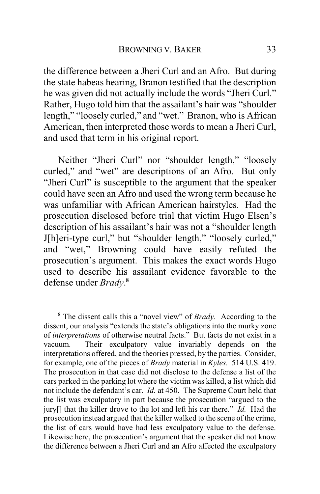the difference between a Jheri Curl and an Afro. But during the state habeas hearing, Branon testified that the description he was given did not actually include the words "Jheri Curl." Rather, Hugo told him that the assailant's hair was "shoulder length," "loosely curled," and "wet." Branon, who is African American, then interpreted those words to mean a Jheri Curl, and used that term in his original report.

Neither "Jheri Curl" nor "shoulder length," "loosely curled," and "wet" are descriptions of an Afro. But only "Jheri Curl" is susceptible to the argument that the speaker could have seen an Afro and used the wrong term because he was unfamiliar with African American hairstyles. Had the prosecution disclosed before trial that victim Hugo Elsen's description of his assailant's hair was not a "shoulder length J[h]eri-type curl," but "shoulder length," "loosely curled," and "wet," Browning could have easily refuted the prosecution's argument. This makes the exact words Hugo used to describe his assailant evidence favorable to the defense under *Brady*. **8**

**<sup>8</sup>** The dissent calls this a "novel view" of *Brady.* According to the dissent, our analysis "extends the state's obligations into the murky zone of *interpretations* of otherwise neutral facts." But facts do not exist in a vacuum. Their exculpatory value invariably depends on the interpretations offered, and the theories pressed, by the parties. Consider, for example, one of the pieces of *Brady* material in *Kyles.* 514 U.S. 419. The prosecution in that case did not disclose to the defense a list of the cars parked in the parking lot where the victim was killed, a list which did not include the defendant's car. *Id.* at 450. The Supreme Court held that the list was exculpatory in part because the prosecution "argued to the jury[] that the killer drove to the lot and left his car there." *Id.* Had the prosecution instead argued that the killer walked to the scene of the crime, the list of cars would have had less exculpatory value to the defense. Likewise here, the prosecution's argument that the speaker did not know the difference between a Jheri Curl and an Afro affected the exculpatory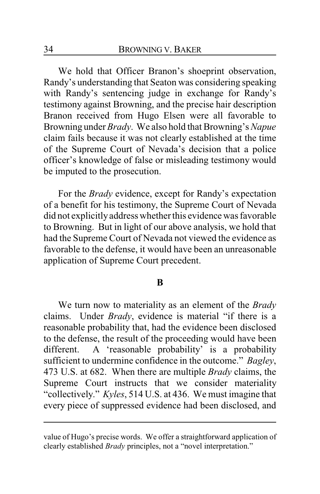We hold that Officer Branon's shoeprint observation, Randy's understanding that Seaton was considering speaking with Randy's sentencing judge in exchange for Randy's testimony against Browning, and the precise hair description Branon received from Hugo Elsen were all favorable to Browning under *Brady*. We also hold that Browning's *Napue* claim fails because it was not clearly established at the time of the Supreme Court of Nevada's decision that a police officer's knowledge of false or misleading testimony would be imputed to the prosecution.

For the *Brady* evidence, except for Randy's expectation of a benefit for his testimony, the Supreme Court of Nevada did not explicitly address whether this evidence was favorable to Browning. But in light of our above analysis, we hold that had the Supreme Court of Nevada not viewed the evidence as favorable to the defense, it would have been an unreasonable application of Supreme Court precedent.

#### **B**

We turn now to materiality as an element of the *Brady* claims. Under *Brady*, evidence is material "if there is a reasonable probability that, had the evidence been disclosed to the defense, the result of the proceeding would have been different. A 'reasonable probability' is a probability sufficient to undermine confidence in the outcome." *Bagley*, 473 U.S. at 682. When there are multiple *Brady* claims, the Supreme Court instructs that we consider materiality "collectively." *Kyles*, 514 U.S. at 436. We must imagine that every piece of suppressed evidence had been disclosed, and

value of Hugo's precise words. We offer a straightforward application of clearly established *Brady* principles, not a "novel interpretation."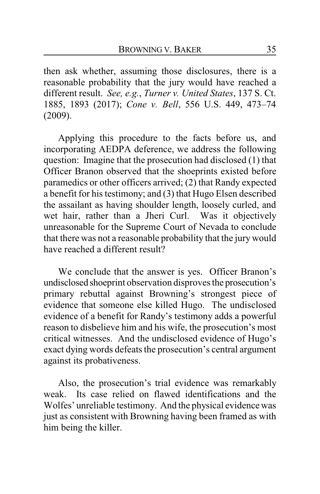then ask whether, assuming those disclosures, there is a reasonable probability that the jury would have reached a different result. *See, e.g.*, *Turner v. United States*, 137 S. Ct. 1885, 1893 (2017); *Cone v. Bell*, 556 U.S. 449, 473–74 (2009).

Applying this procedure to the facts before us, and incorporating AEDPA deference, we address the following question: Imagine that the prosecution had disclosed (1) that Officer Branon observed that the shoeprints existed before paramedics or other officers arrived; (2) that Randy expected a benefit for his testimony; and (3) that Hugo Elsen described the assailant as having shoulder length, loosely curled, and wet hair, rather than a Jheri Curl. Was it objectively unreasonable for the Supreme Court of Nevada to conclude that there was not a reasonable probability that the jury would have reached a different result?

We conclude that the answer is yes. Officer Branon's undisclosed shoeprint observation disproves the prosecution's primary rebuttal against Browning's strongest piece of evidence that someone else killed Hugo. The undisclosed evidence of a benefit for Randy's testimony adds a powerful reason to disbelieve him and his wife, the prosecution's most critical witnesses. And the undisclosed evidence of Hugo's exact dying words defeats the prosecution's central argument against its probativeness.

Also, the prosecution's trial evidence was remarkably weak. Its case relied on flawed identifications and the Wolfes' unreliable testimony. And the physical evidence was just as consistent with Browning having been framed as with him being the killer.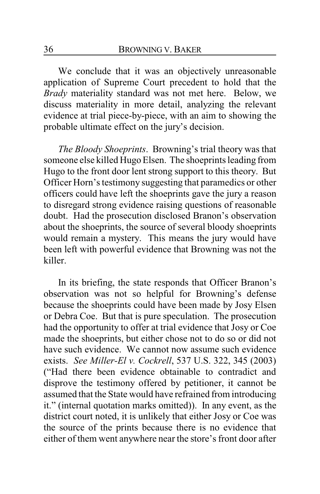We conclude that it was an objectively unreasonable application of Supreme Court precedent to hold that the *Brady* materiality standard was not met here. Below, we discuss materiality in more detail, analyzing the relevant evidence at trial piece-by-piece, with an aim to showing the probable ultimate effect on the jury's decision.

*The Bloody Shoeprints*. Browning's trial theory was that someone else killed Hugo Elsen. The shoeprints leading from Hugo to the front door lent strong support to this theory. But Officer Horn's testimony suggesting that paramedics or other officers could have left the shoeprints gave the jury a reason to disregard strong evidence raising questions of reasonable doubt. Had the prosecution disclosed Branon's observation about the shoeprints, the source of several bloody shoeprints would remain a mystery. This means the jury would have been left with powerful evidence that Browning was not the killer.

In its briefing, the state responds that Officer Branon's observation was not so helpful for Browning's defense because the shoeprints could have been made by Josy Elsen or Debra Coe. But that is pure speculation. The prosecution had the opportunity to offer at trial evidence that Josy or Coe made the shoeprints, but either chose not to do so or did not have such evidence. We cannot now assume such evidence exists. *See Miller-El v. Cockrell*, 537 U.S. 322, 345 (2003) ("Had there been evidence obtainable to contradict and disprove the testimony offered by petitioner, it cannot be assumed that the State would have refrained from introducing it." (internal quotation marks omitted)). In any event, as the district court noted, it is unlikely that either Josy or Coe was the source of the prints because there is no evidence that either of them went anywhere near the store's front door after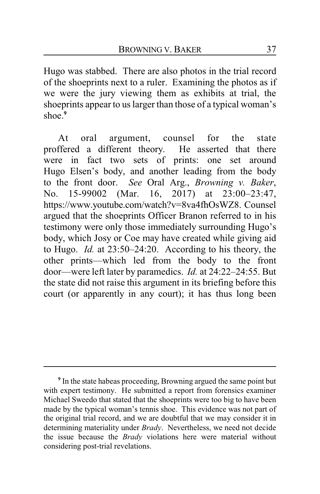Hugo was stabbed. There are also photos in the trial record of the shoeprints next to a ruler. Examining the photos as if we were the jury viewing them as exhibits at trial, the shoeprints appear to us larger than those of a typical woman's shoe.**<sup>9</sup>**

At oral argument, counsel for the state proffered a different theory. He asserted that there were in fact two sets of prints: one set around Hugo Elsen's body, and another leading from the body to the front door. *See* Oral Arg., *Browning v. Baker*, No. 15-99002 (Mar. 16, 2017) at 23:00–23:47, https://www.youtube.com/watch?v=8va4fhOsWZ8. Counsel argued that the shoeprints Officer Branon referred to in his testimony were only those immediately surrounding Hugo's body, which Josy or Coe may have created while giving aid to Hugo. *Id.* at 23:50–24:20. According to his theory, the other prints—which led from the body to the front door—were left later by paramedics. *Id.* at 24:22–24:55. But the state did not raise this argument in its briefing before this court (or apparently in any court); it has thus long been

**<sup>9</sup>** In the state habeas proceeding, Browning argued the same point but with expert testimony. He submitted a report from forensics examiner Michael Sweedo that stated that the shoeprints were too big to have been made by the typical woman's tennis shoe. This evidence was not part of the original trial record, and we are doubtful that we may consider it in determining materiality under *Brady*. Nevertheless, we need not decide the issue because the *Brady* violations here were material without considering post-trial revelations.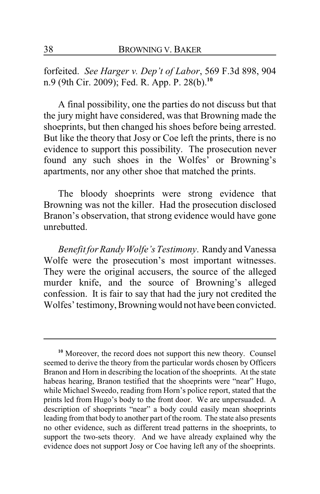forfeited. *See Harger v. Dep't of Labor*, 569 F.3d 898, 904 n.9 (9th Cir. 2009); Fed. R. App. P. 28(b).**<sup>10</sup>**

A final possibility, one the parties do not discuss but that the jury might have considered, was that Browning made the shoeprints, but then changed his shoes before being arrested. But like the theory that Josy or Coe left the prints, there is no evidence to support this possibility. The prosecution never found any such shoes in the Wolfes' or Browning's apartments, nor any other shoe that matched the prints.

The bloody shoeprints were strong evidence that Browning was not the killer. Had the prosecution disclosed Branon's observation, that strong evidence would have gone unrebutted.

*Benefit for Randy Wolfe's Testimony*. Randyand Vanessa Wolfe were the prosecution's most important witnesses. They were the original accusers, the source of the alleged murder knife, and the source of Browning's alleged confession. It is fair to say that had the jury not credited the Wolfes' testimony, Browningwould not have been convicted.

**<sup>10</sup>** Moreover, the record does not support this new theory. Counsel seemed to derive the theory from the particular words chosen by Officers Branon and Horn in describing the location of the shoeprints. At the state habeas hearing, Branon testified that the shoeprints were "near" Hugo, while Michael Sweedo, reading from Horn's police report, stated that the prints led from Hugo's body to the front door. We are unpersuaded. A description of shoeprints "near" a body could easily mean shoeprints leading from that body to another part of the room. The state also presents no other evidence, such as different tread patterns in the shoeprints, to support the two-sets theory. And we have already explained why the evidence does not support Josy or Coe having left any of the shoeprints.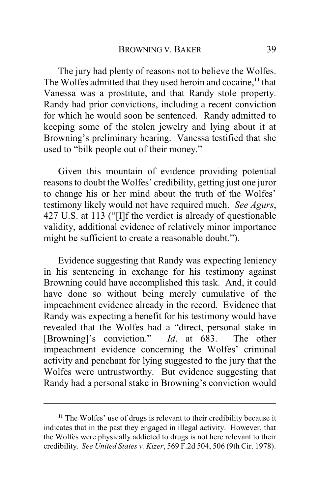The jury had plenty of reasons not to believe the Wolfes. The Wolfes admitted that they used heroin and cocaine,**<sup>11</sup>** that Vanessa was a prostitute, and that Randy stole property. Randy had prior convictions, including a recent conviction for which he would soon be sentenced. Randy admitted to keeping some of the stolen jewelry and lying about it at Browning's preliminary hearing. Vanessa testified that she used to "bilk people out of their money."

Given this mountain of evidence providing potential reasons to doubt the Wolfes' credibility, getting just one juror to change his or her mind about the truth of the Wolfes' testimony likely would not have required much. *See Agurs*, 427 U.S. at 113 ("[I]f the verdict is already of questionable validity, additional evidence of relatively minor importance might be sufficient to create a reasonable doubt.").

Evidence suggesting that Randy was expecting leniency in his sentencing in exchange for his testimony against Browning could have accomplished this task. And, it could have done so without being merely cumulative of the impeachment evidence already in the record. Evidence that Randy was expecting a benefit for his testimony would have revealed that the Wolfes had a "direct, personal stake in [Browning]'s conviction." *Id*. at 683. The other impeachment evidence concerning the Wolfes' criminal activity and penchant for lying suggested to the jury that the Wolfes were untrustworthy. But evidence suggesting that Randy had a personal stake in Browning's conviction would

**<sup>11</sup>** The Wolfes' use of drugs is relevant to their credibility because it indicates that in the past they engaged in illegal activity. However, that the Wolfes were physically addicted to drugs is not here relevant to their credibility. *See United States v. Kizer*, 569 F.2d 504, 506 (9th Cir. 1978).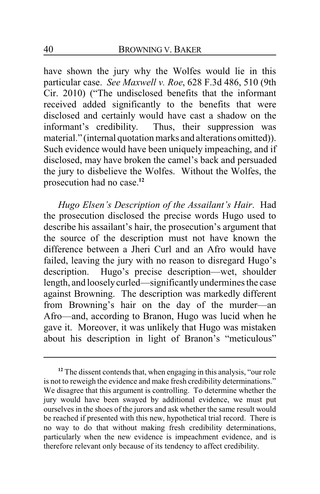have shown the jury why the Wolfes would lie in this particular case. *See Maxwell v. Roe*, 628 F.3d 486, 510 (9th Cir. 2010) ("The undisclosed benefits that the informant received added significantly to the benefits that were disclosed and certainly would have cast a shadow on the informant's credibility. Thus, their suppression was material." (internal quotation marks and alterations omitted)). Such evidence would have been uniquely impeaching, and if disclosed, may have broken the camel's back and persuaded the jury to disbelieve the Wolfes. Without the Wolfes, the prosecution had no case.**<sup>12</sup>**

*Hugo Elsen's Description of the Assailant's Hair*. Had the prosecution disclosed the precise words Hugo used to describe his assailant's hair, the prosecution's argument that the source of the description must not have known the difference between a Jheri Curl and an Afro would have failed, leaving the jury with no reason to disregard Hugo's description. Hugo's precise description—wet, shoulder length, and looselycurled—significantly undermines the case against Browning. The description was markedly different from Browning's hair on the day of the murder—an Afro—and, according to Branon, Hugo was lucid when he gave it. Moreover, it was unlikely that Hugo was mistaken about his description in light of Branon's "meticulous"

**<sup>12</sup>** The dissent contends that, when engaging in this analysis, "our role is not to reweigh the evidence and make fresh credibility determinations." We disagree that this argument is controlling. To determine whether the jury would have been swayed by additional evidence, we must put ourselves in the shoes of the jurors and ask whether the same result would be reached if presented with this new, hypothetical trial record. There is no way to do that without making fresh credibility determinations, particularly when the new evidence is impeachment evidence, and is therefore relevant only because of its tendency to affect credibility.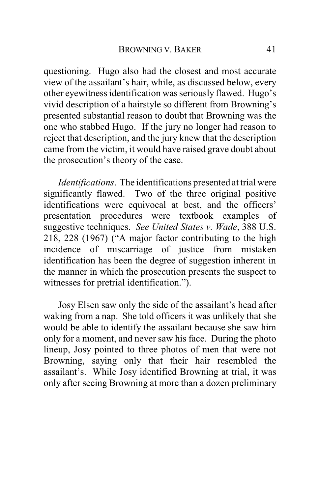questioning. Hugo also had the closest and most accurate view of the assailant's hair, while, as discussed below, every other eyewitness identification was seriously flawed. Hugo's vivid description of a hairstyle so different from Browning's presented substantial reason to doubt that Browning was the one who stabbed Hugo. If the jury no longer had reason to reject that description, and the jury knew that the description came from the victim, it would have raised grave doubt about the prosecution's theory of the case.

*Identifications*. The identifications presented at trial were significantly flawed. Two of the three original positive identifications were equivocal at best, and the officers' presentation procedures were textbook examples of suggestive techniques. *See United States v. Wade*, 388 U.S. 218, 228 (1967) ("A major factor contributing to the high incidence of miscarriage of justice from mistaken identification has been the degree of suggestion inherent in the manner in which the prosecution presents the suspect to witnesses for pretrial identification.").

Josy Elsen saw only the side of the assailant's head after waking from a nap. She told officers it was unlikely that she would be able to identify the assailant because she saw him only for a moment, and never saw his face. During the photo lineup, Josy pointed to three photos of men that were not Browning, saying only that their hair resembled the assailant's. While Josy identified Browning at trial, it was only after seeing Browning at more than a dozen preliminary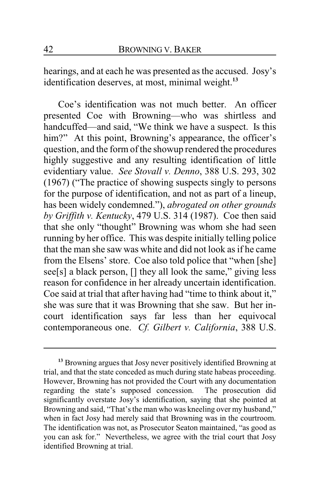hearings, and at each he was presented as the accused. Josy's identification deserves, at most, minimal weight.**<sup>13</sup>**

Coe's identification was not much better. An officer presented Coe with Browning—who was shirtless and handcuffed—and said, "We think we have a suspect. Is this him?" At this point, Browning's appearance, the officer's question, and the form of the showup rendered the procedures highly suggestive and any resulting identification of little evidentiary value. *See Stovall v. Denno*, 388 U.S. 293, 302 (1967) ("The practice of showing suspects singly to persons for the purpose of identification, and not as part of a lineup, has been widely condemned."), *abrogated on other grounds by Griffith v. Kentucky*, 479 U.S. 314 (1987). Coe then said that she only "thought" Browning was whom she had seen running by her office. This was despite initially telling police that the man she saw was white and did not look as if he came from the Elsens' store. Coe also told police that "when [she] see[s] a black person, [] they all look the same," giving less reason for confidence in her already uncertain identification. Coe said at trial that after having had "time to think about it," she was sure that it was Browning that she saw. But her incourt identification says far less than her equivocal contemporaneous one. *Cf. Gilbert v. California*, 388 U.S.

**<sup>13</sup>** Browning argues that Josy never positively identified Browning at trial, and that the state conceded as much during state habeas proceeding. However, Browning has not provided the Court with any documentation regarding the state's supposed concession. The prosecution did significantly overstate Josy's identification, saying that she pointed at Browning and said, "That's the man who was kneeling over my husband," when in fact Josy had merely said that Browning was in the courtroom. The identification was not, as Prosecutor Seaton maintained, "as good as you can ask for." Nevertheless, we agree with the trial court that Josy identified Browning at trial.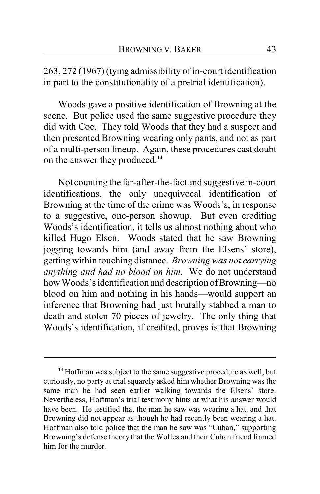263, 272 (1967) (tying admissibility of in-court identification in part to the constitutionality of a pretrial identification).

Woods gave a positive identification of Browning at the scene. But police used the same suggestive procedure they did with Coe. They told Woods that they had a suspect and then presented Browning wearing only pants, and not as part of a multi-person lineup. Again, these procedures cast doubt on the answer they produced.**<sup>14</sup>**

Not counting the far-after-the-fact and suggestive in-court identifications, the only unequivocal identification of Browning at the time of the crime was Woods's, in response to a suggestive, one-person showup. But even crediting Woods's identification, it tells us almost nothing about who killed Hugo Elsen. Woods stated that he saw Browning jogging towards him (and away from the Elsens' store), getting within touching distance. *Browning was not carrying anything and had no blood on him.* We do not understand how Woods's identification and description of Browning—no blood on him and nothing in his hands—would support an inference that Browning had just brutally stabbed a man to death and stolen 70 pieces of jewelry. The only thing that Woods's identification, if credited, proves is that Browning

**<sup>14</sup>** Hoffman was subject to the same suggestive procedure as well, but curiously, no party at trial squarely asked him whether Browning was the same man he had seen earlier walking towards the Elsens' store. Nevertheless, Hoffman's trial testimony hints at what his answer would have been. He testified that the man he saw was wearing a hat, and that Browning did not appear as though he had recently been wearing a hat. Hoffman also told police that the man he saw was "Cuban," supporting Browning's defense theory that the Wolfes and their Cuban friend framed him for the murder.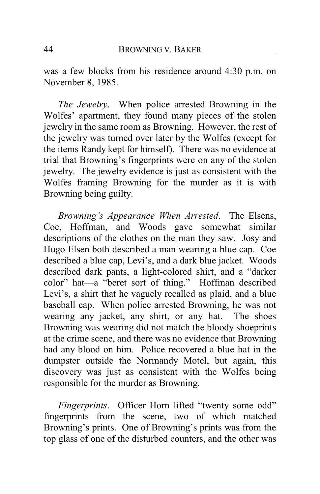was a few blocks from his residence around 4:30 p.m. on November 8, 1985.

*The Jewelry*. When police arrested Browning in the Wolfes' apartment, they found many pieces of the stolen jewelry in the same room as Browning. However, the rest of the jewelry was turned over later by the Wolfes (except for the items Randy kept for himself). There was no evidence at trial that Browning's fingerprints were on any of the stolen jewelry. The jewelry evidence is just as consistent with the Wolfes framing Browning for the murder as it is with Browning being guilty.

*Browning's Appearance When Arrested*. The Elsens, Coe, Hoffman, and Woods gave somewhat similar descriptions of the clothes on the man they saw. Josy and Hugo Elsen both described a man wearing a blue cap. Coe described a blue cap, Levi's, and a dark blue jacket. Woods described dark pants, a light-colored shirt, and a "darker color" hat—a "beret sort of thing." Hoffman described Levi's, a shirt that he vaguely recalled as plaid, and a blue baseball cap. When police arrested Browning, he was not wearing any jacket, any shirt, or any hat. The shoes Browning was wearing did not match the bloody shoeprints at the crime scene, and there was no evidence that Browning had any blood on him. Police recovered a blue hat in the dumpster outside the Normandy Motel, but again, this discovery was just as consistent with the Wolfes being responsible for the murder as Browning.

*Fingerprints*. Officer Horn lifted "twenty some odd" fingerprints from the scene, two of which matched Browning's prints. One of Browning's prints was from the top glass of one of the disturbed counters, and the other was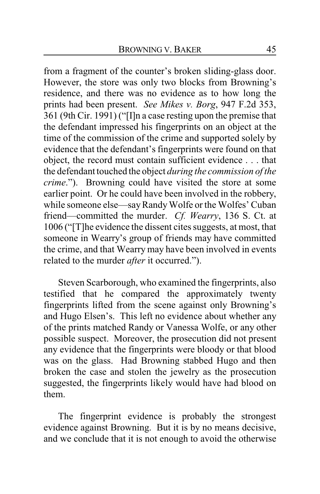from a fragment of the counter's broken sliding-glass door. However, the store was only two blocks from Browning's residence, and there was no evidence as to how long the prints had been present. *See Mikes v. Borg*, 947 F.2d 353, 361 (9th Cir. 1991) ("[I]n a case resting upon the premise that the defendant impressed his fingerprints on an object at the time of the commission of the crime and supported solely by evidence that the defendant's fingerprints were found on that object, the record must contain sufficient evidence . . . that the defendant touched the object *during the commission of the crime*."). Browning could have visited the store at some earlier point. Or he could have been involved in the robbery, while someone else—say Randy Wolfe or the Wolfes' Cuban friend—committed the murder. *Cf. Wearry*, 136 S. Ct. at 1006 ("[T]he evidence the dissent cites suggests, at most, that someone in Wearry's group of friends may have committed the crime, and that Wearry may have been involved in events related to the murder *after* it occurred.").

Steven Scarborough, who examined the fingerprints, also testified that he compared the approximately twenty fingerprints lifted from the scene against only Browning's and Hugo Elsen's. This left no evidence about whether any of the prints matched Randy or Vanessa Wolfe, or any other possible suspect. Moreover, the prosecution did not present any evidence that the fingerprints were bloody or that blood was on the glass. Had Browning stabbed Hugo and then broken the case and stolen the jewelry as the prosecution suggested, the fingerprints likely would have had blood on them.

The fingerprint evidence is probably the strongest evidence against Browning. But it is by no means decisive, and we conclude that it is not enough to avoid the otherwise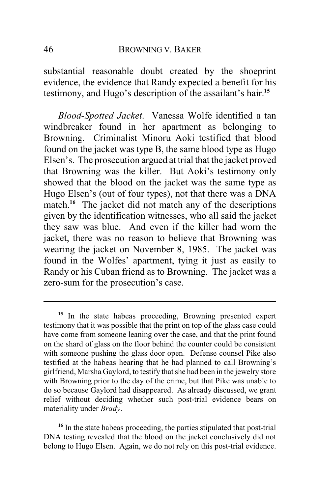substantial reasonable doubt created by the shoeprint evidence, the evidence that Randy expected a benefit for his testimony, and Hugo's description of the assailant's hair.**<sup>15</sup>**

*Blood-Spotted Jacket*. Vanessa Wolfe identified a tan windbreaker found in her apartment as belonging to Browning. Criminalist Minoru Aoki testified that blood found on the jacket was type B, the same blood type as Hugo Elsen's. The prosecution argued at trial that the jacket proved that Browning was the killer. But Aoki's testimony only showed that the blood on the jacket was the same type as Hugo Elsen's (out of four types), not that there was a DNA match.<sup>16</sup> The jacket did not match any of the descriptions given by the identification witnesses, who all said the jacket they saw was blue. And even if the killer had worn the jacket, there was no reason to believe that Browning was wearing the jacket on November 8, 1985. The jacket was found in the Wolfes' apartment, tying it just as easily to Randy or his Cuban friend as to Browning. The jacket was a zero-sum for the prosecution's case.

<sup>16</sup> In the state habeas proceeding, the parties stipulated that post-trial DNA testing revealed that the blood on the jacket conclusively did not belong to Hugo Elsen. Again, we do not rely on this post-trial evidence.

<sup>&</sup>lt;sup>15</sup> In the state habeas proceeding, Browning presented expert testimony that it was possible that the print on top of the glass case could have come from someone leaning over the case, and that the print found on the shard of glass on the floor behind the counter could be consistent with someone pushing the glass door open. Defense counsel Pike also testified at the habeas hearing that he had planned to call Browning's girlfriend, Marsha Gaylord, to testify that she had been in the jewelry store with Browning prior to the day of the crime, but that Pike was unable to do so because Gaylord had disappeared. As already discussed, we grant relief without deciding whether such post-trial evidence bears on materiality under *Brady*.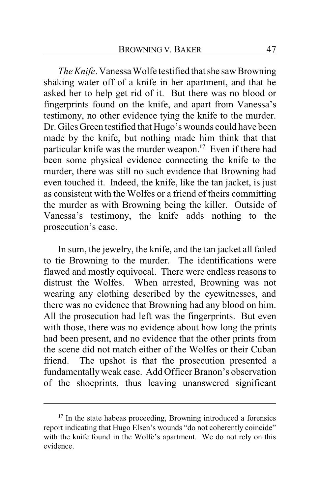*The Knife*. Vanessa Wolfe testified that she saw Browning shaking water off of a knife in her apartment, and that he asked her to help get rid of it. But there was no blood or fingerprints found on the knife, and apart from Vanessa's testimony, no other evidence tying the knife to the murder. Dr. Giles Green testified that Hugo's wounds could have been made by the knife, but nothing made him think that that particular knife was the murder weapon.**<sup>17</sup>** Even if there had been some physical evidence connecting the knife to the murder, there was still no such evidence that Browning had even touched it. Indeed, the knife, like the tan jacket, is just as consistent with the Wolfes or a friend of theirs committing the murder as with Browning being the killer. Outside of Vanessa's testimony, the knife adds nothing to the prosecution's case.

In sum, the jewelry, the knife, and the tan jacket all failed to tie Browning to the murder. The identifications were flawed and mostly equivocal. There were endless reasons to distrust the Wolfes. When arrested, Browning was not wearing any clothing described by the eyewitnesses, and there was no evidence that Browning had any blood on him. All the prosecution had left was the fingerprints. But even with those, there was no evidence about how long the prints had been present, and no evidence that the other prints from the scene did not match either of the Wolfes or their Cuban friend. The upshot is that the prosecution presented a fundamentally weak case. Add Officer Branon's observation of the shoeprints, thus leaving unanswered significant

<sup>&</sup>lt;sup>17</sup> In the state habeas proceeding, Browning introduced a forensics report indicating that Hugo Elsen's wounds "do not coherently coincide" with the knife found in the Wolfe's apartment. We do not rely on this evidence.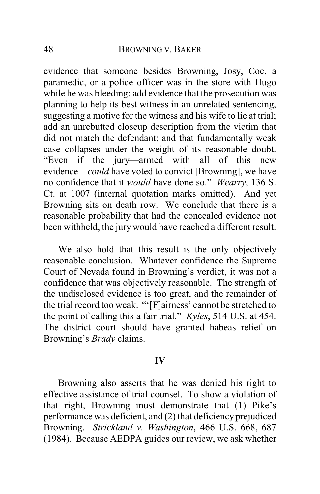evidence that someone besides Browning, Josy, Coe, a paramedic, or a police officer was in the store with Hugo while he was bleeding; add evidence that the prosecution was planning to help its best witness in an unrelated sentencing, suggesting a motive for the witness and his wife to lie at trial; add an unrebutted closeup description from the victim that did not match the defendant; and that fundamentally weak case collapses under the weight of its reasonable doubt. "Even if the jury—armed with all of this new evidence—*could* have voted to convict [Browning], we have no confidence that it *would* have done so." *Wearry*, 136 S. Ct. at 1007 (internal quotation marks omitted). And yet Browning sits on death row. We conclude that there is a reasonable probability that had the concealed evidence not been withheld, the jury would have reached a different result.

We also hold that this result is the only objectively reasonable conclusion. Whatever confidence the Supreme Court of Nevada found in Browning's verdict, it was not a confidence that was objectively reasonable. The strength of the undisclosed evidence is too great, and the remainder of the trial record too weak. "'[F]airness' cannot be stretched to the point of calling this a fair trial." *Kyles*, 514 U.S. at 454. The district court should have granted habeas relief on Browning's *Brady* claims.

#### **IV**

Browning also asserts that he was denied his right to effective assistance of trial counsel. To show a violation of that right, Browning must demonstrate that (1) Pike's performance was deficient, and (2) that deficiency prejudiced Browning. *Strickland v. Washington*, 466 U.S. 668, 687 (1984). Because AEDPA guides our review, we ask whether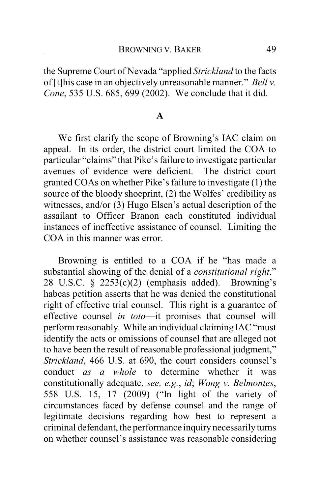the Supreme Court of Nevada "applied *Strickland* to the facts of [t]his case in an objectively unreasonable manner." *Bell v. Cone*, 535 U.S. 685, 699 (2002). We conclude that it did.

## **A**

We first clarify the scope of Browning's IAC claim on appeal. In its order, the district court limited the COA to particular "claims" that Pike's failure to investigate particular avenues of evidence were deficient. The district court granted COAs on whether Pike's failure to investigate (1) the source of the bloody shoeprint, (2) the Wolfes' credibility as witnesses, and/or (3) Hugo Elsen's actual description of the assailant to Officer Branon each constituted individual instances of ineffective assistance of counsel. Limiting the COA in this manner was error.

Browning is entitled to a COA if he "has made a substantial showing of the denial of a *constitutional right*." 28 U.S.C. § 2253(c)(2) (emphasis added). Browning's habeas petition asserts that he was denied the constitutional right of effective trial counsel. This right is a guarantee of effective counsel *in toto*—it promises that counsel will perform reasonably. While an individual claiming IAC "must identify the acts or omissions of counsel that are alleged not to have been the result of reasonable professional judgment," *Strickland*, 466 U.S. at 690, the court considers counsel's conduct *as a whole* to determine whether it was constitutionally adequate, *see, e.g.*, *id*; *Wong v. Belmontes*, 558 U.S. 15, 17 (2009) ("In light of the variety of circumstances faced by defense counsel and the range of legitimate decisions regarding how best to represent a criminal defendant, the performance inquiry necessarily turns on whether counsel's assistance was reasonable considering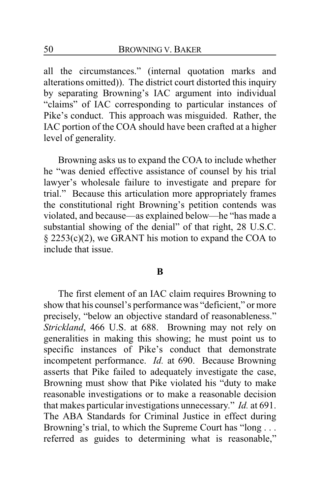all the circumstances." (internal quotation marks and alterations omitted)). The district court distorted this inquiry by separating Browning's IAC argument into individual "claims" of IAC corresponding to particular instances of Pike's conduct. This approach was misguided. Rather, the IAC portion of the COA should have been crafted at a higher level of generality.

Browning asks us to expand the COA to include whether he "was denied effective assistance of counsel by his trial lawyer's wholesale failure to investigate and prepare for trial." Because this articulation more appropriately frames the constitutional right Browning's petition contends was violated, and because—as explained below—he "has made a substantial showing of the denial" of that right, 28 U.S.C. § 2253(c)(2), we GRANT his motion to expand the COA to include that issue.

#### **B**

The first element of an IAC claim requires Browning to show that his counsel's performance was "deficient," or more precisely, "below an objective standard of reasonableness." *Strickland*, 466 U.S. at 688. Browning may not rely on generalities in making this showing; he must point us to specific instances of Pike's conduct that demonstrate incompetent performance. *Id.* at 690. Because Browning asserts that Pike failed to adequately investigate the case, Browning must show that Pike violated his "duty to make reasonable investigations or to make a reasonable decision that makes particular investigations unnecessary." *Id.* at 691. The ABA Standards for Criminal Justice in effect during Browning's trial, to which the Supreme Court has "long . . . referred as guides to determining what is reasonable,"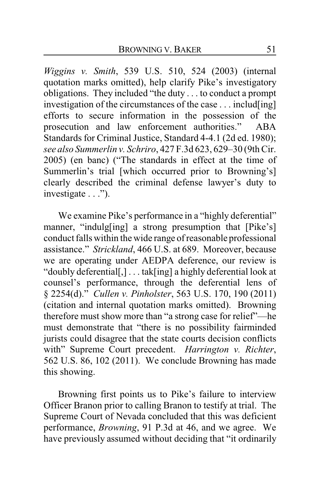*Wiggins v. Smith*, 539 U.S. 510, 524 (2003) (internal quotation marks omitted), help clarify Pike's investigatory obligations. They included "the duty . . . to conduct a prompt investigation of the circumstances of the case . . . includ[ing] efforts to secure information in the possession of the prosecution and law enforcement authorities." ABA Standards for Criminal Justice, Standard 4-4.1 (2d ed. 1980); *see also Summerlin v. Schriro*, 427 F.3d 623, 629–30 (9th Cir. 2005) (en banc) ("The standards in effect at the time of Summerlin's trial [which occurred prior to Browning's] clearly described the criminal defense lawyer's duty to investigate . . .").

We examine Pike's performance in a "highly deferential" manner, "indulg[ing] a strong presumption that [Pike's] conduct falls within the wide range of reasonable professional assistance." *Strickland*, 466 U.S. at 689. Moreover, because we are operating under AEDPA deference, our review is "doubly deferential[,] . . . tak[ing] a highly deferential look at counsel's performance, through the deferential lens of § 2254(d)." *Cullen v. Pinholster*, 563 U.S. 170, 190 (2011) (citation and internal quotation marks omitted). Browning therefore must show more than "a strong case for relief"—he must demonstrate that "there is no possibility fairminded jurists could disagree that the state courts decision conflicts with" Supreme Court precedent. *Harrington v. Richter*, 562 U.S. 86, 102 (2011). We conclude Browning has made this showing.

Browning first points us to Pike's failure to interview Officer Branon prior to calling Branon to testify at trial. The Supreme Court of Nevada concluded that this was deficient performance, *Browning*, 91 P.3d at 46, and we agree. We have previously assumed without deciding that "it ordinarily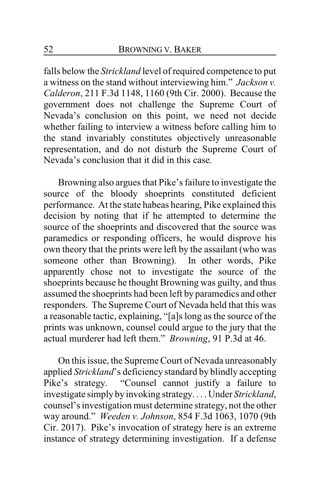falls below the *Strickland* level of required competence to put a witness on the stand without interviewing him." *Jackson v. Calderon*, 211 F.3d 1148, 1160 (9th Cir. 2000). Because the government does not challenge the Supreme Court of Nevada's conclusion on this point, we need not decide whether failing to interview a witness before calling him to the stand invariably constitutes objectively unreasonable representation, and do not disturb the Supreme Court of Nevada's conclusion that it did in this case.

Browning also argues that Pike's failure to investigate the source of the bloody shoeprints constituted deficient performance. At the state habeas hearing, Pike explained this decision by noting that if he attempted to determine the source of the shoeprints and discovered that the source was paramedics or responding officers, he would disprove his own theory that the prints were left by the assailant (who was someone other than Browning). In other words, Pike apparently chose not to investigate the source of the shoeprints because he thought Browning was guilty, and thus assumed the shoeprints had been left by paramedics and other responders. The Supreme Court of Nevada held that this was a reasonable tactic, explaining, "[a]s long as the source of the prints was unknown, counsel could argue to the jury that the actual murderer had left them." *Browning*, 91 P.3d at 46.

On this issue, the Supreme Court of Nevada unreasonably applied *Strickland*'s deficiency standard by blindly accepting<br>Pike's strategy. "Counsel cannot justify a failure to "Counsel cannot justify a failure to investigate simply by invoking strategy. . . . Under *Strickland*, counsel's investigation must determine strategy, not the other way around." *Weeden v. Johnson*, 854 F.3d 1063, 1070 (9th Cir. 2017). Pike's invocation of strategy here is an extreme instance of strategy determining investigation. If a defense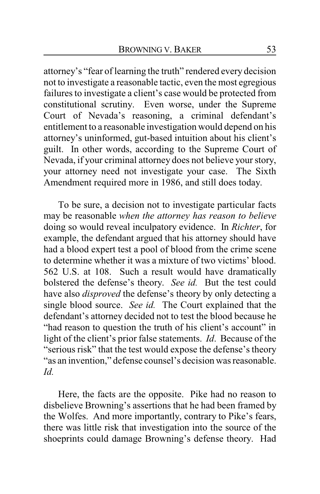attorney's "fear of learning the truth" rendered every decision not to investigate a reasonable tactic, even the most egregious failures to investigate a client's case would be protected from constitutional scrutiny. Even worse, under the Supreme Court of Nevada's reasoning, a criminal defendant's entitlement to a reasonable investigation would depend on his attorney's uninformed, gut-based intuition about his client's guilt. In other words, according to the Supreme Court of Nevada, if your criminal attorney does not believe your story, your attorney need not investigate your case. The Sixth Amendment required more in 1986, and still does today.

To be sure, a decision not to investigate particular facts may be reasonable *when the attorney has reason to believe* doing so would reveal inculpatory evidence. In *Richter*, for example, the defendant argued that his attorney should have had a blood expert test a pool of blood from the crime scene to determine whether it was a mixture of two victims' blood. 562 U.S. at 108. Such a result would have dramatically bolstered the defense's theory. *See id.* But the test could have also *disproved* the defense's theory by only detecting a single blood source. *See id.* The Court explained that the defendant's attorney decided not to test the blood because he "had reason to question the truth of his client's account" in light of the client's prior false statements. *Id*. Because of the "serious risk" that the test would expose the defense's theory "as an invention," defense counsel's decision was reasonable. *Id.*

Here, the facts are the opposite. Pike had no reason to disbelieve Browning's assertions that he had been framed by the Wolfes. And more importantly, contrary to Pike's fears, there was little risk that investigation into the source of the shoeprints could damage Browning's defense theory. Had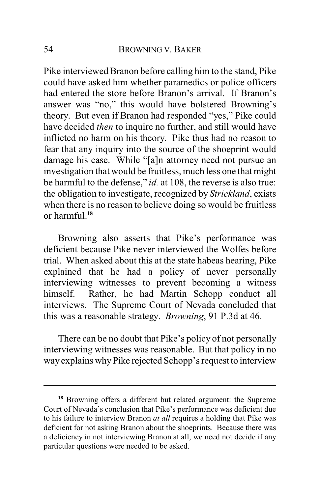Pike interviewed Branon before calling him to the stand, Pike could have asked him whether paramedics or police officers had entered the store before Branon's arrival. If Branon's answer was "no," this would have bolstered Browning's theory. But even if Branon had responded "yes," Pike could have decided *then* to inquire no further, and still would have inflicted no harm on his theory. Pike thus had no reason to fear that any inquiry into the source of the shoeprint would damage his case. While "[a]n attorney need not pursue an investigation that would be fruitless, much less one that might be harmful to the defense," *id.* at 108, the reverse is also true: the obligation to investigate, recognized by *Strickland*, exists when there is no reason to believe doing so would be fruitless or harmful.**<sup>18</sup>**

Browning also asserts that Pike's performance was deficient because Pike never interviewed the Wolfes before trial. When asked about this at the state habeas hearing, Pike explained that he had a policy of never personally interviewing witnesses to prevent becoming a witness himself. Rather, he had Martin Schopp conduct all interviews. The Supreme Court of Nevada concluded that this was a reasonable strategy. *Browning*, 91 P.3d at 46.

There can be no doubt that Pike's policy of not personally interviewing witnesses was reasonable. But that policy in no wayexplains whyPike rejected Schopp's request to interview

**<sup>18</sup>** Browning offers a different but related argument: the Supreme Court of Nevada's conclusion that Pike's performance was deficient due to his failure to interview Branon *at all* requires a holding that Pike was deficient for not asking Branon about the shoeprints. Because there was a deficiency in not interviewing Branon at all, we need not decide if any particular questions were needed to be asked.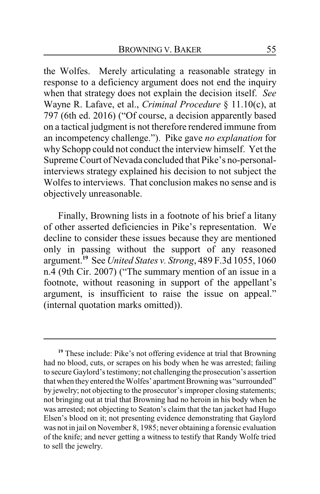the Wolfes. Merely articulating a reasonable strategy in response to a deficiency argument does not end the inquiry when that strategy does not explain the decision itself. *See* Wayne R. Lafave, et al., *Criminal Procedure* § 11.10(c), at 797 (6th ed. 2016) ("Of course, a decision apparently based on a tactical judgment is not therefore rendered immune from an incompetency challenge."). Pike gave *no explanation* for why Schopp could not conduct the interview himself. Yet the Supreme Court of Nevada concluded that Pike's no-personalinterviews strategy explained his decision to not subject the Wolfes to interviews. That conclusion makes no sense and is objectively unreasonable.

Finally, Browning lists in a footnote of his brief a litany of other asserted deficiencies in Pike's representation. We decline to consider these issues because they are mentioned only in passing without the support of any reasoned argument.**<sup>19</sup>** See *United States v. Strong*, 489 F.3d 1055, 1060 n.4 (9th Cir. 2007) ("The summary mention of an issue in a footnote, without reasoning in support of the appellant's argument, is insufficient to raise the issue on appeal." (internal quotation marks omitted)).

**<sup>19</sup>** These include: Pike's not offering evidence at trial that Browning had no blood, cuts, or scrapes on his body when he was arrested; failing to secure Gaylord's testimony; not challenging the prosecution's assertion that when they entered the Wolfes' apartment Browning was "surrounded" by jewelry; not objecting to the prosecutor's improper closing statements; not bringing out at trial that Browning had no heroin in his body when he was arrested; not objecting to Seaton's claim that the tan jacket had Hugo Elsen's blood on it; not presenting evidence demonstrating that Gaylord was not in jail on November 8, 1985; never obtaining a forensic evaluation of the knife; and never getting a witness to testify that Randy Wolfe tried to sell the jewelry.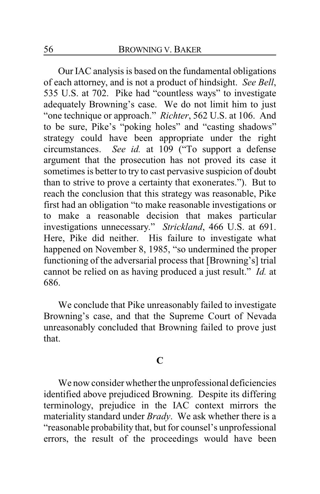Our IAC analysis is based on the fundamental obligations of each attorney, and is not a product of hindsight. *See Bell*, 535 U.S. at 702. Pike had "countless ways" to investigate adequately Browning's case. We do not limit him to just "one technique or approach." *Richter*, 562 U.S. at 106. And to be sure, Pike's "poking holes" and "casting shadows" strategy could have been appropriate under the right circumstances. *See id.* at 109 ("To support a defense argument that the prosecution has not proved its case it sometimes is better to try to cast pervasive suspicion of doubt than to strive to prove a certainty that exonerates."). But to reach the conclusion that this strategy was reasonable, Pike first had an obligation "to make reasonable investigations or to make a reasonable decision that makes particular investigations unnecessary." *Strickland*, 466 U.S. at 691. Here, Pike did neither. His failure to investigate what happened on November 8, 1985, "so undermined the proper functioning of the adversarial process that [Browning's] trial cannot be relied on as having produced a just result." *Id.* at 686.

We conclude that Pike unreasonably failed to investigate Browning's case, and that the Supreme Court of Nevada unreasonably concluded that Browning failed to prove just that.

## **C**

We now consider whether the unprofessional deficiencies identified above prejudiced Browning. Despite its differing terminology, prejudice in the IAC context mirrors the materiality standard under *Brady*. We ask whether there is a "reasonable probability that, but for counsel's unprofessional errors, the result of the proceedings would have been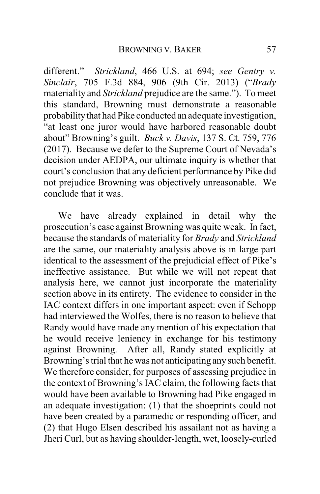different." *Strickland*, 466 U.S. at 694; *see Gentry v. Sinclair*, 705 F.3d 884, 906 (9th Cir. 2013) ("*Brady* materiality and *Strickland* prejudice are the same."). To meet this standard, Browning must demonstrate a reasonable probability that had Pike conducted an adequate investigation, "at least one juror would have harbored reasonable doubt about" Browning's guilt. *Buck v. Davis*, 137 S. Ct. 759, 776 (2017). Because we defer to the Supreme Court of Nevada's decision under AEDPA, our ultimate inquiry is whether that court's conclusion that any deficient performance by Pike did not prejudice Browning was objectively unreasonable. We conclude that it was.

We have already explained in detail why the prosecution's case against Browning was quite weak. In fact, because the standards of materiality for *Brady* and *Strickland* are the same, our materiality analysis above is in large part identical to the assessment of the prejudicial effect of Pike's ineffective assistance. But while we will not repeat that analysis here, we cannot just incorporate the materiality section above in its entirety. The evidence to consider in the IAC context differs in one important aspect: even if Schopp had interviewed the Wolfes, there is no reason to believe that Randy would have made any mention of his expectation that he would receive leniency in exchange for his testimony against Browning. After all, Randy stated explicitly at Browning's trial that he was not anticipating any such benefit. We therefore consider, for purposes of assessing prejudice in the context of Browning's IAC claim, the following facts that would have been available to Browning had Pike engaged in an adequate investigation: (1) that the shoeprints could not have been created by a paramedic or responding officer, and (2) that Hugo Elsen described his assailant not as having a Jheri Curl, but as having shoulder-length, wet, loosely-curled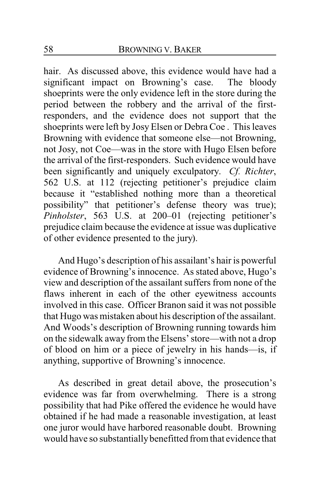hair. As discussed above, this evidence would have had a significant impact on Browning's case. The bloody shoeprints were the only evidence left in the store during the period between the robbery and the arrival of the firstresponders, and the evidence does not support that the shoeprints were left by Josy Elsen or Debra Coe . This leaves Browning with evidence that someone else—not Browning, not Josy, not Coe—was in the store with Hugo Elsen before the arrival of the first-responders. Such evidence would have been significantly and uniquely exculpatory. *Cf. Richter*, 562 U.S. at 112 (rejecting petitioner's prejudice claim because it "established nothing more than a theoretical possibility" that petitioner's defense theory was true); *Pinholster*, 563 U.S. at 200–01 (rejecting petitioner's prejudice claim because the evidence at issue was duplicative of other evidence presented to the jury).

And Hugo's description of his assailant's hair is powerful evidence of Browning's innocence. As stated above, Hugo's view and description of the assailant suffers from none of the flaws inherent in each of the other eyewitness accounts involved in this case. Officer Branon said it was not possible that Hugo was mistaken about his description of the assailant. And Woods's description of Browning running towards him on the sidewalk away from the Elsens' store—with not a drop of blood on him or a piece of jewelry in his hands—is, if anything, supportive of Browning's innocence.

As described in great detail above, the prosecution's evidence was far from overwhelming. There is a strong possibility that had Pike offered the evidence he would have obtained if he had made a reasonable investigation, at least one juror would have harbored reasonable doubt. Browning would have so substantiallybenefitted from that evidence that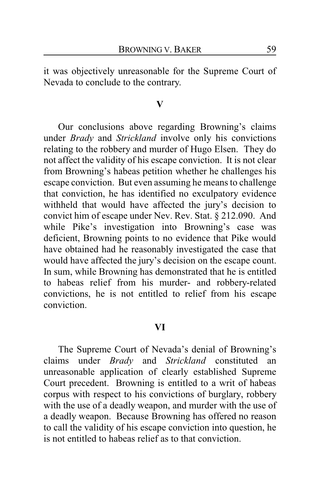it was objectively unreasonable for the Supreme Court of Nevada to conclude to the contrary.

### **V**

Our conclusions above regarding Browning's claims under *Brady* and *Strickland* involve only his convictions relating to the robbery and murder of Hugo Elsen. They do not affect the validity of his escape conviction. It is not clear from Browning's habeas petition whether he challenges his escape conviction. But even assuming he means to challenge that conviction, he has identified no exculpatory evidence withheld that would have affected the jury's decision to convict him of escape under Nev. Rev. Stat. § 212.090. And while Pike's investigation into Browning's case was deficient, Browning points to no evidence that Pike would have obtained had he reasonably investigated the case that would have affected the jury's decision on the escape count. In sum, while Browning has demonstrated that he is entitled to habeas relief from his murder- and robbery-related convictions, he is not entitled to relief from his escape conviction.

### **VI**

The Supreme Court of Nevada's denial of Browning's claims under *Brady* and *Strickland* constituted an unreasonable application of clearly established Supreme Court precedent. Browning is entitled to a writ of habeas corpus with respect to his convictions of burglary, robbery with the use of a deadly weapon, and murder with the use of a deadly weapon. Because Browning has offered no reason to call the validity of his escape conviction into question, he is not entitled to habeas relief as to that conviction.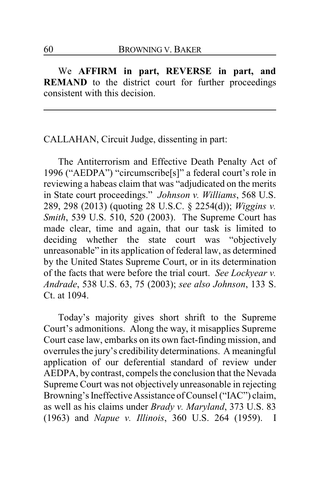We **AFFIRM in part, REVERSE in part, and REMAND** to the district court for further proceedings consistent with this decision.

CALLAHAN, Circuit Judge, dissenting in part:

The Antiterrorism and Effective Death Penalty Act of 1996 ("AEDPA") "circumscribe[s]" a federal court's role in reviewing a habeas claim that was "adjudicated on the merits in State court proceedings." *Johnson v. Williams*, 568 U.S. 289, 298 (2013) (quoting 28 U.S.C. § 2254(d)); *Wiggins v. Smith*, 539 U.S. 510, 520 (2003). The Supreme Court has made clear, time and again, that our task is limited to deciding whether the state court was "objectively unreasonable" in its application of federal law, as determined by the United States Supreme Court, or in its determination of the facts that were before the trial court. *See Lockyear v. Andrade*, 538 U.S. 63, 75 (2003); *see also Johnson*, 133 S. Ct. at 1094.

Today's majority gives short shrift to the Supreme Court's admonitions. Along the way, it misapplies Supreme Court case law, embarks on its own fact-finding mission, and overrules the jury's credibility determinations. A meaningful application of our deferential standard of review under AEDPA, by contrast, compels the conclusion that the Nevada Supreme Court was not objectively unreasonable in rejecting Browning's Ineffective Assistance of Counsel ("IAC") claim, as well as his claims under *Brady v. Maryland*, 373 U.S. 83 (1963) and *Napue v. Illinois*, 360 U.S. 264 (1959). I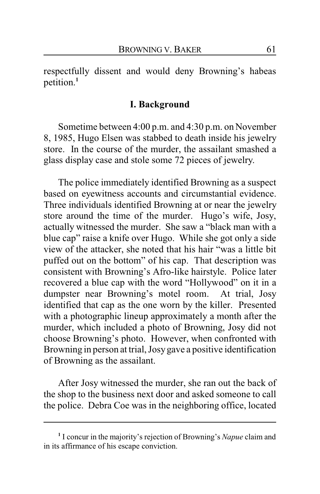respectfully dissent and would deny Browning's habeas petition.**<sup>1</sup>**

#### **I. Background**

Sometime between 4:00 p.m. and 4:30 p.m. on November 8, 1985, Hugo Elsen was stabbed to death inside his jewelry store. In the course of the murder, the assailant smashed a glass display case and stole some 72 pieces of jewelry.

The police immediately identified Browning as a suspect based on eyewitness accounts and circumstantial evidence. Three individuals identified Browning at or near the jewelry store around the time of the murder. Hugo's wife, Josy, actually witnessed the murder. She saw a "black man with a blue cap" raise a knife over Hugo. While she got only a side view of the attacker, she noted that his hair "was a little bit puffed out on the bottom" of his cap. That description was consistent with Browning's Afro-like hairstyle. Police later recovered a blue cap with the word "Hollywood" on it in a dumpster near Browning's motel room. At trial, Josy identified that cap as the one worn by the killer. Presented with a photographic lineup approximately a month after the murder, which included a photo of Browning, Josy did not choose Browning's photo. However, when confronted with Browning in person at trial, Josygave a positive identification of Browning as the assailant.

After Josy witnessed the murder, she ran out the back of the shop to the business next door and asked someone to call the police. Debra Coe was in the neighboring office, located

**<sup>1</sup>** I concur in the majority's rejection of Browning's *Napue* claim and in its affirmance of his escape conviction.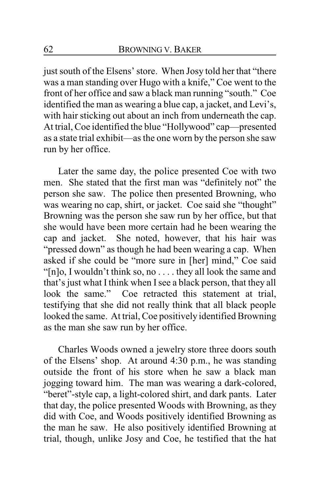just south of the Elsens' store. When Josy told her that "there was a man standing over Hugo with a knife," Coe went to the front of her office and saw a black man running "south." Coe identified the man as wearing a blue cap, a jacket, and Levi's, with hair sticking out about an inch from underneath the cap. At trial, Coe identified the blue "Hollywood" cap—presented as a state trial exhibit—as the one worn by the person she saw run by her office.

Later the same day, the police presented Coe with two men. She stated that the first man was "definitely not" the person she saw. The police then presented Browning, who was wearing no cap, shirt, or jacket. Coe said she "thought" Browning was the person she saw run by her office, but that she would have been more certain had he been wearing the cap and jacket. She noted, however, that his hair was "pressed down" as though he had been wearing a cap. When asked if she could be "more sure in [her] mind," Coe said "[n]o, I wouldn't think so, no . . . . they all look the same and that's just what I think when Isee a black person, that they all look the same." Coe retracted this statement at trial, testifying that she did not really think that all black people looked the same. At trial, Coe positively identified Browning as the man she saw run by her office.

Charles Woods owned a jewelry store three doors south of the Elsens' shop. At around 4:30 p.m., he was standing outside the front of his store when he saw a black man jogging toward him. The man was wearing a dark-colored, "beret"-style cap, a light-colored shirt, and dark pants. Later that day, the police presented Woods with Browning, as they did with Coe, and Woods positively identified Browning as the man he saw. He also positively identified Browning at trial, though, unlike Josy and Coe, he testified that the hat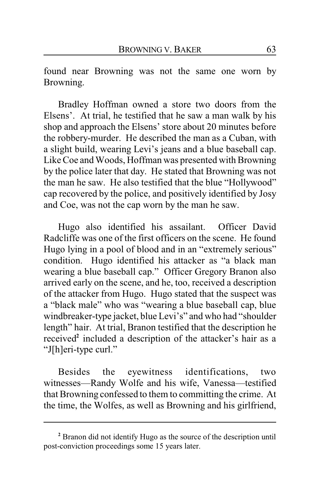found near Browning was not the same one worn by Browning.

Bradley Hoffman owned a store two doors from the Elsens'. At trial, he testified that he saw a man walk by his shop and approach the Elsens' store about 20 minutes before the robbery-murder. He described the man as a Cuban, with a slight build, wearing Levi's jeans and a blue baseball cap. Like Coe and Woods, Hoffman was presented with Browning by the police later that day. He stated that Browning was not the man he saw. He also testified that the blue "Hollywood" cap recovered by the police, and positively identified by Josy and Coe, was not the cap worn by the man he saw.

Hugo also identified his assailant. Officer David Radcliffe was one of the first officers on the scene. He found Hugo lying in a pool of blood and in an "extremely serious" condition. Hugo identified his attacker as "a black man wearing a blue baseball cap." Officer Gregory Branon also arrived early on the scene, and he, too, received a description of the attacker from Hugo. Hugo stated that the suspect was a "black male" who was "wearing a blue baseball cap, blue windbreaker-type jacket, blue Levi's" and who had "shoulder length" hair. At trial, Branon testified that the description he received**<sup>2</sup>** included a description of the attacker's hair as a "J[h]eri-type curl."

Besides the eyewitness identifications, two witnesses—Randy Wolfe and his wife, Vanessa—testified that Browning confessed to them to committing the crime. At the time, the Wolfes, as well as Browning and his girlfriend,

**<sup>2</sup>** Branon did not identify Hugo as the source of the description until post-conviction proceedings some 15 years later.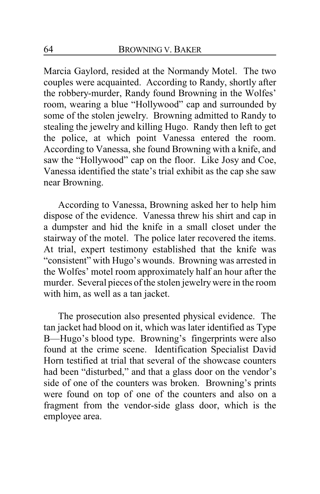Marcia Gaylord, resided at the Normandy Motel. The two couples were acquainted. According to Randy, shortly after the robbery-murder, Randy found Browning in the Wolfes' room, wearing a blue "Hollywood" cap and surrounded by some of the stolen jewelry. Browning admitted to Randy to stealing the jewelry and killing Hugo. Randy then left to get the police, at which point Vanessa entered the room. According to Vanessa, she found Browning with a knife, and saw the "Hollywood" cap on the floor. Like Josy and Coe, Vanessa identified the state's trial exhibit as the cap she saw near Browning.

According to Vanessa, Browning asked her to help him dispose of the evidence. Vanessa threw his shirt and cap in a dumpster and hid the knife in a small closet under the stairway of the motel. The police later recovered the items. At trial, expert testimony established that the knife was "consistent" with Hugo's wounds. Browning was arrested in the Wolfes' motel room approximately half an hour after the murder. Several pieces of the stolen jewelrywere in the room with him, as well as a tan jacket.

The prosecution also presented physical evidence. The tan jacket had blood on it, which was later identified as Type B—Hugo's blood type. Browning's fingerprints were also found at the crime scene. Identification Specialist David Horn testified at trial that several of the showcase counters had been "disturbed," and that a glass door on the vendor's side of one of the counters was broken. Browning's prints were found on top of one of the counters and also on a fragment from the vendor-side glass door, which is the employee area.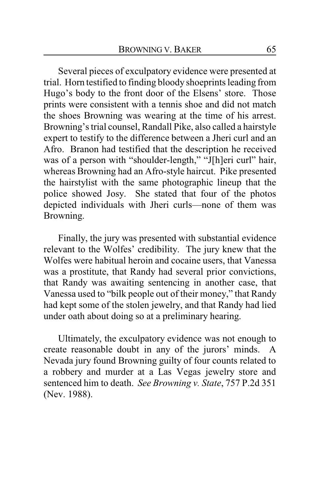Several pieces of exculpatory evidence were presented at trial. Horn testified to finding bloody shoeprints leading from Hugo's body to the front door of the Elsens' store. Those prints were consistent with a tennis shoe and did not match the shoes Browning was wearing at the time of his arrest. Browning's trial counsel, Randall Pike, also called a hairstyle expert to testify to the difference between a Jheri curl and an Afro. Branon had testified that the description he received was of a person with "shoulder-length," "J[h]eri curl" hair, whereas Browning had an Afro-style haircut. Pike presented the hairstylist with the same photographic lineup that the police showed Josy. She stated that four of the photos depicted individuals with Jheri curls—none of them was Browning.

Finally, the jury was presented with substantial evidence relevant to the Wolfes' credibility. The jury knew that the Wolfes were habitual heroin and cocaine users, that Vanessa was a prostitute, that Randy had several prior convictions, that Randy was awaiting sentencing in another case, that Vanessa used to "bilk people out of their money," that Randy had kept some of the stolen jewelry, and that Randy had lied under oath about doing so at a preliminary hearing.

Ultimately, the exculpatory evidence was not enough to create reasonable doubt in any of the jurors' minds. A Nevada jury found Browning guilty of four counts related to a robbery and murder at a Las Vegas jewelry store and sentenced him to death. *See Browning v. State*, 757 P.2d 351 (Nev. 1988).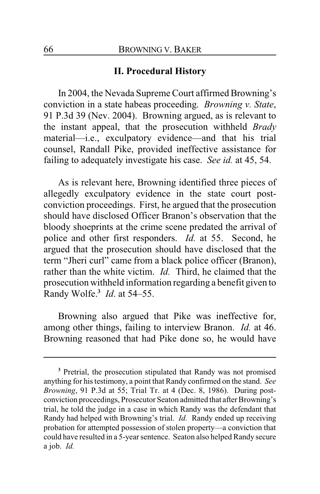### **II. Procedural History**

In 2004, the Nevada Supreme Court affirmed Browning's conviction in a state habeas proceeding. *Browning v. State*, 91 P.3d 39 (Nev. 2004). Browning argued, as is relevant to the instant appeal, that the prosecution withheld *Brady* material—i.e., exculpatory evidence—and that his trial counsel, Randall Pike, provided ineffective assistance for failing to adequately investigate his case. *See id.* at 45, 54.

As is relevant here, Browning identified three pieces of allegedly exculpatory evidence in the state court postconviction proceedings. First, he argued that the prosecution should have disclosed Officer Branon's observation that the bloody shoeprints at the crime scene predated the arrival of police and other first responders. *Id.* at 55. Second, he argued that the prosecution should have disclosed that the term "Jheri curl" came from a black police officer (Branon), rather than the white victim. *Id.* Third, he claimed that the prosecution withheld information regarding a benefit given to Randy Wolfe.**<sup>3</sup>** *Id*. at 54–55.

Browning also argued that Pike was ineffective for, among other things, failing to interview Branon. *Id.* at 46. Browning reasoned that had Pike done so, he would have

**<sup>3</sup>** Pretrial, the prosecution stipulated that Randy was not promised anything for his testimony, a point that Randy confirmed on the stand. *See Browning*, 91 P.3d at 55; Trial Tr. at 4 (Dec. 8, 1986). During postconviction proceedings, Prosecutor Seaton admitted that after Browning's trial, he told the judge in a case in which Randy was the defendant that Randy had helped with Browning's trial. *Id.* Randy ended up receiving probation for attempted possession of stolen property—a conviction that could have resulted in a 5-year sentence. Seaton also helped Randy secure a job. *Id.*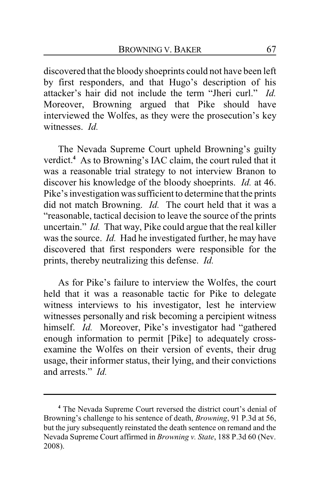discovered that the bloody shoeprints could not have been left by first responders, and that Hugo's description of his attacker's hair did not include the term "Jheri curl." *Id.* Moreover, Browning argued that Pike should have interviewed the Wolfes, as they were the prosecution's key witnesses. *Id.*

The Nevada Supreme Court upheld Browning's guilty verdict.**<sup>4</sup>** As to Browning's IAC claim, the court ruled that it was a reasonable trial strategy to not interview Branon to discover his knowledge of the bloody shoeprints. *Id.* at 46. Pike's investigation was sufficient to determine that the prints did not match Browning. *Id.* The court held that it was a "reasonable, tactical decision to leave the source of the prints uncertain." *Id.* That way, Pike could argue that the real killer was the source. *Id.* Had he investigated further, he may have discovered that first responders were responsible for the prints, thereby neutralizing this defense. *Id.*

As for Pike's failure to interview the Wolfes, the court held that it was a reasonable tactic for Pike to delegate witness interviews to his investigator, lest he interview witnesses personally and risk becoming a percipient witness himself. *Id.* Moreover, Pike's investigator had "gathered enough information to permit [Pike] to adequately crossexamine the Wolfes on their version of events, their drug usage, their informer status, their lying, and their convictions and arrests." *Id.*

**<sup>4</sup>** The Nevada Supreme Court reversed the district court's denial of Browning's challenge to his sentence of death, *Browning*, 91 P.3d at 56, but the jury subsequently reinstated the death sentence on remand and the Nevada Supreme Court affirmed in *Browning v. State*, 188 P.3d 60 (Nev. 2008).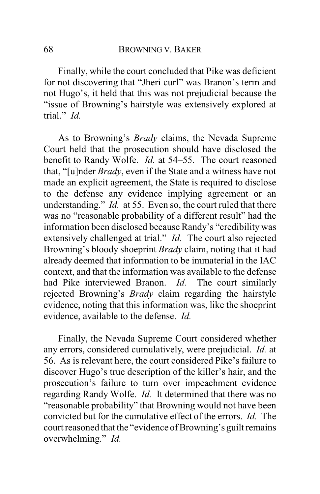Finally, while the court concluded that Pike was deficient for not discovering that "Jheri curl" was Branon's term and not Hugo's, it held that this was not prejudicial because the "issue of Browning's hairstyle was extensively explored at trial." *Id.*

As to Browning's *Brady* claims, the Nevada Supreme Court held that the prosecution should have disclosed the benefit to Randy Wolfe. *Id.* at 54–55. The court reasoned that, "[u]nder *Brady*, even if the State and a witness have not made an explicit agreement, the State is required to disclose to the defense any evidence implying agreement or an understanding." *Id.* at 55. Even so, the court ruled that there was no "reasonable probability of a different result" had the information been disclosed because Randy's "credibility was extensively challenged at trial." *Id.* The court also rejected Browning's bloody shoeprint *Brady* claim, noting that it had already deemed that information to be immaterial in the IAC context, and that the information was available to the defense had Pike interviewed Branon. *Id.* The court similarly rejected Browning's *Brady* claim regarding the hairstyle evidence, noting that this information was, like the shoeprint evidence, available to the defense. *Id.*

Finally, the Nevada Supreme Court considered whether any errors, considered cumulatively, were prejudicial. *Id.* at 56. As is relevant here, the court considered Pike's failure to discover Hugo's true description of the killer's hair, and the prosecution's failure to turn over impeachment evidence regarding Randy Wolfe. *Id.* It determined that there was no "reasonable probability" that Browning would not have been convicted but for the cumulative effect of the errors. *Id.* The court reasoned that the "evidence of Browning's guilt remains overwhelming." *Id.*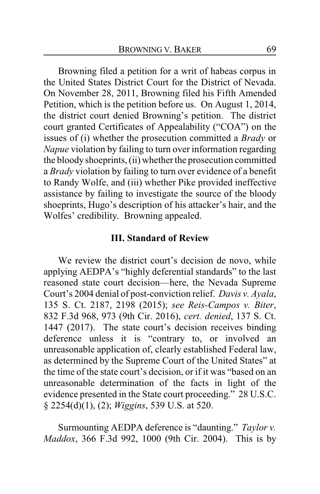Browning filed a petition for a writ of habeas corpus in the United States District Court for the District of Nevada. On November 28, 2011, Browning filed his Fifth Amended Petition, which is the petition before us. On August 1, 2014, the district court denied Browning's petition. The district court granted Certificates of Appealability ("COA") on the issues of (i) whether the prosecution committed a *Brady* or *Napue* violation by failing to turn over information regarding the bloodyshoeprints, (ii) whether the prosecution committed a *Brady* violation by failing to turn over evidence of a benefit to Randy Wolfe, and (iii) whether Pike provided ineffective assistance by failing to investigate the source of the bloody shoeprints, Hugo's description of his attacker's hair, and the Wolfes' credibility. Browning appealed.

## **III. Standard of Review**

We review the district court's decision de novo, while applying AEDPA's "highly deferential standards" to the last reasoned state court decision—here, the Nevada Supreme Court's 2004 denial of post-conviction relief. *Davis v. Ayala*, 135 S. Ct. 2187, 2198 (2015); *see Reis-Campos v. Biter*, 832 F.3d 968, 973 (9th Cir. 2016), *cert. denied*, 137 S. Ct. 1447 (2017). The state court's decision receives binding deference unless it is "contrary to, or involved an unreasonable application of, clearly established Federal law, as determined by the Supreme Court of the United States" at the time of the state court's decision, or if it was "based on an unreasonable determination of the facts in light of the evidence presented in the State court proceeding." 28 U.S.C. § 2254(d)(1), (2); *Wiggins*, 539 U.S. at 520.

Surmounting AEDPA deference is "daunting." *Taylor v. Maddox*, 366 F.3d 992, 1000 (9th Cir. 2004). This is by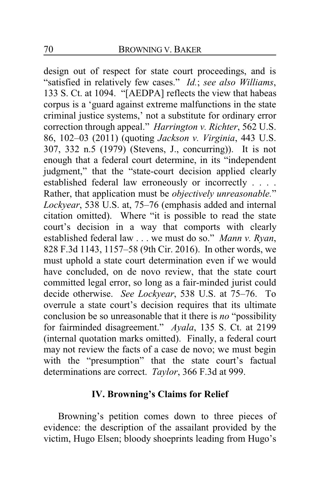design out of respect for state court proceedings, and is "satisfied in relatively few cases." *Id.*; *see also Williams*, 133 S. Ct. at 1094. "[AEDPA] reflects the view that habeas corpus is a 'guard against extreme malfunctions in the state criminal justice systems,' not a substitute for ordinary error correction through appeal." *Harrington v. Richter*, 562 U.S. 86, 102–03 (2011) (quoting *Jackson v. Virginia*, 443 U.S. 307, 332 n.5 (1979) (Stevens, J., concurring)). It is not enough that a federal court determine, in its "independent judgment," that the "state-court decision applied clearly established federal law erroneously or incorrectly . . . . Rather, that application must be *objectively unreasonable.*" *Lockyear*, 538 U.S. at, 75–76 (emphasis added and internal citation omitted). Where "it is possible to read the state court's decision in a way that comports with clearly established federal law . . . we must do so." *Mann v. Ryan*, 828 F.3d 1143, 1157–58 (9th Cir. 2016). In other words, we must uphold a state court determination even if we would have concluded, on de novo review, that the state court committed legal error, so long as a fair-minded jurist could decide otherwise. *See Lockyear*, 538 U.S. at 75–76. To overrule a state court's decision requires that its ultimate conclusion be so unreasonable that it there is *no* "possibility for fairminded disagreement." *Ayala*, 135 S. Ct. at 2199 (internal quotation marks omitted). Finally, a federal court may not review the facts of a case de novo; we must begin with the "presumption" that the state court's factual determinations are correct. *Taylor*, 366 F.3d at 999.

## **IV. Browning's Claims for Relief**

Browning's petition comes down to three pieces of evidence: the description of the assailant provided by the victim, Hugo Elsen; bloody shoeprints leading from Hugo's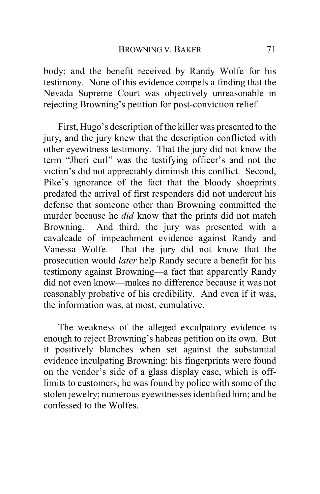body; and the benefit received by Randy Wolfe for his testimony. None of this evidence compels a finding that the Nevada Supreme Court was objectively unreasonable in rejecting Browning's petition for post-conviction relief.

First, Hugo's description of the killer was presented to the jury, and the jury knew that the description conflicted with other eyewitness testimony. That the jury did not know the term "Jheri curl" was the testifying officer's and not the victim's did not appreciably diminish this conflict. Second, Pike's ignorance of the fact that the bloody shoeprints predated the arrival of first responders did not undercut his defense that someone other than Browning committed the murder because he *did* know that the prints did not match Browning. And third, the jury was presented with a cavalcade of impeachment evidence against Randy and Vanessa Wolfe. That the jury did not know that the prosecution would *later* help Randy secure a benefit for his testimony against Browning—a fact that apparently Randy did not even know—makes no difference because it was not reasonably probative of his credibility. And even if it was, the information was, at most, cumulative.

The weakness of the alleged exculpatory evidence is enough to reject Browning's habeas petition on its own. But it positively blanches when set against the substantial evidence inculpating Browning: his fingerprints were found on the vendor's side of a glass display case, which is offlimits to customers; he was found by police with some of the stolen jewelry; numerous eyewitnesses identified him; and he confessed to the Wolfes.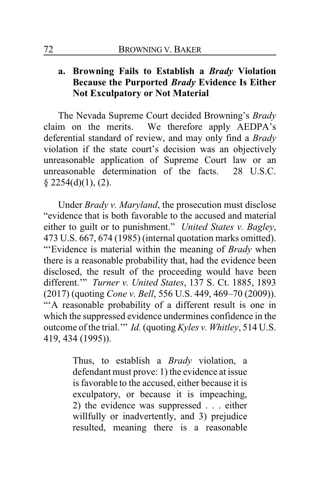# **a. Browning Fails to Establish a** *Brady* **Violation Because the Purported** *Brady* **Evidence Is Either Not Exculpatory or Not Material**

The Nevada Supreme Court decided Browning's *Brady* claim on the merits. We therefore apply AEDPA's deferential standard of review, and may only find a *Brady* violation if the state court's decision was an objectively unreasonable application of Supreme Court law or an unreasonable determination of the facts. 28 U.S.C.  $§$  2254(d)(1), (2).

Under *Brady v. Maryland*, the prosecution must disclose "evidence that is both favorable to the accused and material either to guilt or to punishment." *United States v. Bagley*, 473 U.S. 667, 674 (1985) (internal quotation marks omitted). "'Evidence is material within the meaning of *Brady* when there is a reasonable probability that, had the evidence been disclosed, the result of the proceeding would have been different.'" *Turner v. United States*, 137 S. Ct. 1885, 1893 (2017) (quoting *Cone v. Bell*, 556 U.S. 449, 469–70 (2009)). "'A reasonable probability of a different result is one in which the suppressed evidence undermines confidence in the outcome of the trial.'" *Id.* (quoting *Kyles v. Whitley*, 514 U.S. 419, 434 (1995)).

> Thus, to establish a *Brady* violation, a defendant must prove: 1) the evidence at issue is favorable to the accused, either because it is exculpatory, or because it is impeaching, 2) the evidence was suppressed . . . either willfully or inadvertently, and 3) prejudice resulted, meaning there is a reasonable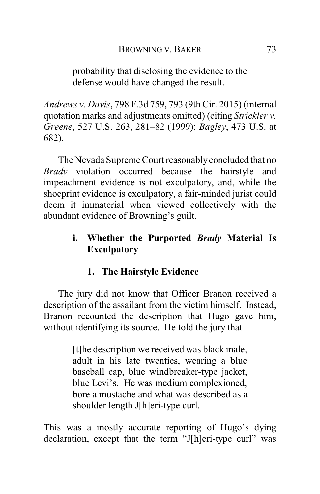probability that disclosing the evidence to the defense would have changed the result.

*Andrews v. Davis*, 798 F.3d 759, 793 (9th Cir. 2015) (internal quotation marks and adjustments omitted) (citing *Strickler v. Greene*, 527 U.S. 263, 281–82 (1999); *Bagley*, 473 U.S. at 682).

The Nevada Supreme Court reasonably concluded that no *Brady* violation occurred because the hairstyle and impeachment evidence is not exculpatory, and, while the shoeprint evidence is exculpatory, a fair-minded jurist could deem it immaterial when viewed collectively with the abundant evidence of Browning's guilt.

# **i. Whether the Purported** *Brady* **Material Is Exculpatory**

# **1. The Hairstyle Evidence**

The jury did not know that Officer Branon received a description of the assailant from the victim himself. Instead, Branon recounted the description that Hugo gave him, without identifying its source. He told the jury that

> [t]he description we received was black male, adult in his late twenties, wearing a blue baseball cap, blue windbreaker-type jacket, blue Levi's. He was medium complexioned, bore a mustache and what was described as a shoulder length J[h]eri-type curl.

This was a mostly accurate reporting of Hugo's dying declaration, except that the term "J[h]eri-type curl" was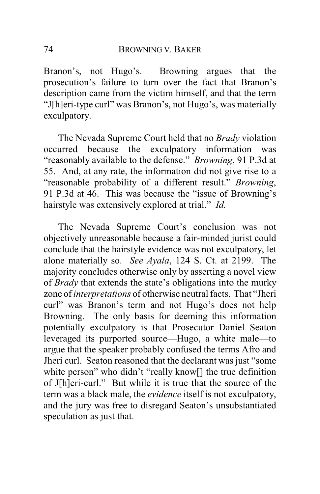Branon's, not Hugo's. Browning argues that the prosecution's failure to turn over the fact that Branon's description came from the victim himself, and that the term "J[h]eri-type curl" was Branon's, not Hugo's, was materially exculpatory.

The Nevada Supreme Court held that no *Brady* violation occurred because the exculpatory information was "reasonably available to the defense." *Browning*, 91 P.3d at 55. And, at any rate, the information did not give rise to a "reasonable probability of a different result." *Browning*, 91 P.3d at 46. This was because the "issue of Browning's hairstyle was extensively explored at trial." *Id.*

The Nevada Supreme Court's conclusion was not objectively unreasonable because a fair-minded jurist could conclude that the hairstyle evidence was not exculpatory, let alone materially so. *See Ayala*, 124 S. Ct. at 2199. The majority concludes otherwise only by asserting a novel view of *Brady* that extends the state's obligations into the murky zone of *interpretations* of otherwise neutral facts. That "Jheri curl" was Branon's term and not Hugo's does not help Browning. The only basis for deeming this information potentially exculpatory is that Prosecutor Daniel Seaton leveraged its purported source—Hugo, a white male—to argue that the speaker probably confused the terms Afro and Jheri curl. Seaton reasoned that the declarant was just "some white person" who didn't "really know[] the true definition of J[h]eri-curl." But while it is true that the source of the term was a black male, the *evidence* itself is not exculpatory, and the jury was free to disregard Seaton's unsubstantiated speculation as just that.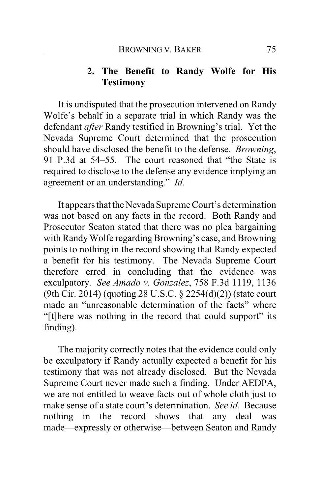## **2. The Benefit to Randy Wolfe for His Testimony**

It is undisputed that the prosecution intervened on Randy Wolfe's behalf in a separate trial in which Randy was the defendant *after* Randy testified in Browning's trial. Yet the Nevada Supreme Court determined that the prosecution should have disclosed the benefit to the defense. *Browning*, 91 P.3d at 54–55. The court reasoned that "the State is required to disclose to the defense any evidence implying an agreement or an understanding." *Id.*

It appears that the Nevada Supreme Court's determination was not based on any facts in the record. Both Randy and Prosecutor Seaton stated that there was no plea bargaining with Randy Wolfe regarding Browning's case, and Browning points to nothing in the record showing that Randy expected a benefit for his testimony. The Nevada Supreme Court therefore erred in concluding that the evidence was exculpatory. *See Amado v. Gonzalez*, 758 F.3d 1119, 1136 (9th Cir. 2014) (quoting 28 U.S.C. § 2254(d)(2)) (state court made an "unreasonable determination of the facts" where "[t]here was nothing in the record that could support" its finding).

The majority correctly notes that the evidence could only be exculpatory if Randy actually expected a benefit for his testimony that was not already disclosed. But the Nevada Supreme Court never made such a finding. Under AEDPA, we are not entitled to weave facts out of whole cloth just to make sense of a state court's determination. *See id*. Because nothing in the record shows that any deal was made—expressly or otherwise—between Seaton and Randy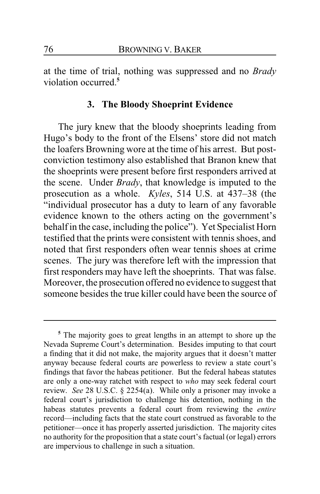at the time of trial, nothing was suppressed and no *Brady* violation occurred.**<sup>5</sup>**

#### **3. The Bloody Shoeprint Evidence**

The jury knew that the bloody shoeprints leading from Hugo's body to the front of the Elsens' store did not match the loafers Browning wore at the time of his arrest. But postconviction testimony also established that Branon knew that the shoeprints were present before first responders arrived at the scene. Under *Brady*, that knowledge is imputed to the prosecution as a whole. *Kyles*, 514 U.S. at 437–38 (the "individual prosecutor has a duty to learn of any favorable evidence known to the others acting on the government's behalf in the case, including the police"). Yet Specialist Horn testified that the prints were consistent with tennis shoes, and noted that first responders often wear tennis shoes at crime scenes. The jury was therefore left with the impression that first responders may have left the shoeprints. That was false. Moreover, the prosecution offered no evidence to suggest that someone besides the true killer could have been the source of

**<sup>5</sup>** The majority goes to great lengths in an attempt to shore up the Nevada Supreme Court's determination. Besides imputing to that court a finding that it did not make, the majority argues that it doesn't matter anyway because federal courts are powerless to review a state court's findings that favor the habeas petitioner. But the federal habeas statutes are only a one-way ratchet with respect to *who* may seek federal court review. *See* 28 U.S.C. § 2254(a). While only a prisoner may invoke a federal court's jurisdiction to challenge his detention, nothing in the habeas statutes prevents a federal court from reviewing the *entire* record—including facts that the state court construed as favorable to the petitioner—once it has properly asserted jurisdiction. The majority cites no authority for the proposition that a state court's factual (or legal) errors are impervious to challenge in such a situation.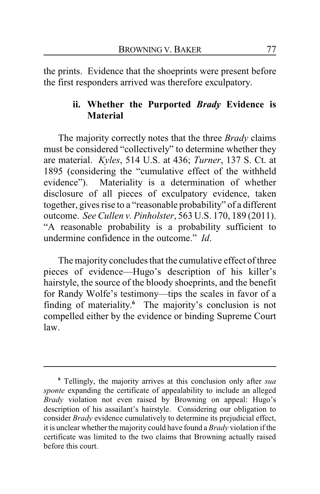the prints. Evidence that the shoeprints were present before the first responders arrived was therefore exculpatory.

## **ii. Whether the Purported** *Brady* **Evidence is Material**

The majority correctly notes that the three *Brady* claims must be considered "collectively" to determine whether they are material. *Kyles*, 514 U.S. at 436; *Turner*, 137 S. Ct. at 1895 (considering the "cumulative effect of the withheld evidence"). Materiality is a determination of whether disclosure of all pieces of exculpatory evidence, taken together, gives rise to a "reasonable probability" of a different outcome. *See Cullen v. Pinholster*, 563 U.S. 170, 189 (2011). "A reasonable probability is a probability sufficient to undermine confidence in the outcome." *Id*.

The majority concludes that the cumulative effect of three pieces of evidence—Hugo's description of his killer's hairstyle, the source of the bloody shoeprints, and the benefit for Randy Wolfe's testimony—tips the scales in favor of a finding of materiality. **<sup>6</sup>** The majority's conclusion is not compelled either by the evidence or binding Supreme Court law.

**<sup>6</sup>** Tellingly, the majority arrives at this conclusion only after *sua sponte* expanding the certificate of appealability to include an alleged *Brady* violation not even raised by Browning on appeal: Hugo's description of his assailant's hairstyle. Considering our obligation to consider *Brady* evidence cumulatively to determine its prejudicial effect, it is unclear whether the majority could have found a *Brady* violation if the certificate was limited to the two claims that Browning actually raised before this court.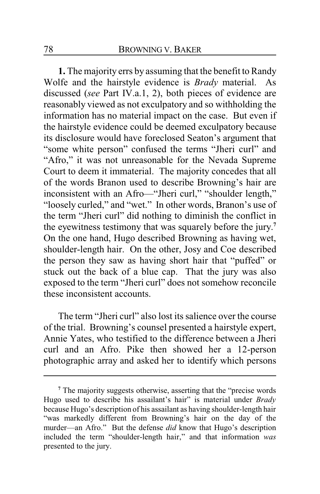**1.** The majority errs by assuming that the benefit to Randy Wolfe and the hairstyle evidence is *Brady* material. As discussed (*see* Part IV.a.1, 2), both pieces of evidence are reasonably viewed as not exculpatory and so withholding the information has no material impact on the case. But even if the hairstyle evidence could be deemed exculpatory because its disclosure would have foreclosed Seaton's argument that "some white person" confused the terms "Jheri curl" and "Afro," it was not unreasonable for the Nevada Supreme Court to deem it immaterial. The majority concedes that all of the words Branon used to describe Browning's hair are inconsistent with an Afro—"Jheri curl," "shoulder length," "loosely curled," and "wet." In other words, Branon's use of the term "Jheri curl" did nothing to diminish the conflict in the eyewitness testimony that was squarely before the jury. **7** On the one hand, Hugo described Browning as having wet, shoulder-length hair. On the other, Josy and Coe described the person they saw as having short hair that "puffed" or stuck out the back of a blue cap. That the jury was also exposed to the term "Jheri curl" does not somehow reconcile these inconsistent accounts.

The term "Jheri curl" also lost its salience over the course of the trial. Browning's counsel presented a hairstyle expert, Annie Yates, who testified to the difference between a Jheri curl and an Afro. Pike then showed her a 12-person photographic array and asked her to identify which persons

**<sup>7</sup>** The majority suggests otherwise, asserting that the "precise words Hugo used to describe his assailant's hair" is material under *Brady* because Hugo's description of his assailant as having shoulder-length hair "was markedly different from Browning's hair on the day of the murder—an Afro." But the defense *did* know that Hugo's description included the term "shoulder-length hair," and that information *was* presented to the jury.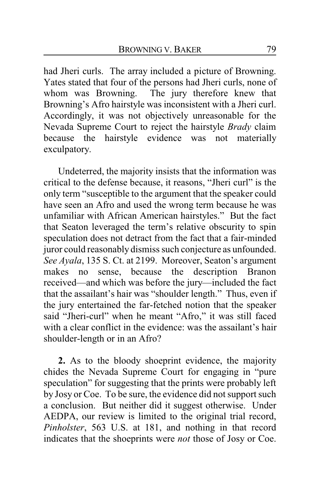had Jheri curls. The array included a picture of Browning. Yates stated that four of the persons had Jheri curls, none of whom was Browning. The jury therefore knew that Browning's Afro hairstyle was inconsistent with a Jheri curl. Accordingly, it was not objectively unreasonable for the Nevada Supreme Court to reject the hairstyle *Brady* claim because the hairstyle evidence was not materially exculpatory.

Undeterred, the majority insists that the information was critical to the defense because, it reasons, "Jheri curl" is the only term "susceptible to the argument that the speaker could have seen an Afro and used the wrong term because he was unfamiliar with African American hairstyles." But the fact that Seaton leveraged the term's relative obscurity to spin speculation does not detract from the fact that a fair-minded juror could reasonably dismiss such conjecture as unfounded. *See Ayala*, 135 S. Ct. at 2199. Moreover, Seaton's argument makes no sense, because the description Branon received—and which was before the jury—included the fact that the assailant's hair was "shoulder length." Thus, even if the jury entertained the far-fetched notion that the speaker said "Jheri-curl" when he meant "Afro," it was still faced with a clear conflict in the evidence: was the assailant's hair shoulder-length or in an Afro?

**2.** As to the bloody shoeprint evidence, the majority chides the Nevada Supreme Court for engaging in "pure speculation" for suggesting that the prints were probably left by Josy or Coe. To be sure, the evidence did not support such a conclusion. But neither did it suggest otherwise. Under AEDPA, our review is limited to the original trial record, *Pinholster*, 563 U.S. at 181, and nothing in that record indicates that the shoeprints were *not* those of Josy or Coe.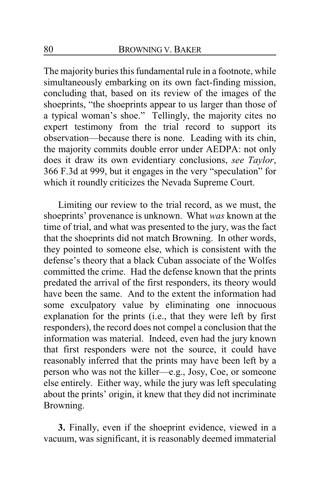The majority buries this fundamental rule in a footnote, while simultaneously embarking on its own fact-finding mission, concluding that, based on its review of the images of the shoeprints, "the shoeprints appear to us larger than those of a typical woman's shoe." Tellingly, the majority cites no expert testimony from the trial record to support its observation—because there is none. Leading with its chin, the majority commits double error under AEDPA: not only does it draw its own evidentiary conclusions, *see Taylor*, 366 F.3d at 999, but it engages in the very "speculation" for which it roundly criticizes the Nevada Supreme Court.

Limiting our review to the trial record, as we must, the shoeprints' provenance is unknown. What *was* known at the time of trial, and what was presented to the jury, was the fact that the shoeprints did not match Browning. In other words, they pointed to someone else, which is consistent with the defense's theory that a black Cuban associate of the Wolfes committed the crime. Had the defense known that the prints predated the arrival of the first responders, its theory would have been the same. And to the extent the information had some exculpatory value by eliminating one innocuous explanation for the prints (i.e., that they were left by first responders), the record does not compel a conclusion that the information was material. Indeed, even had the jury known that first responders were not the source, it could have reasonably inferred that the prints may have been left by a person who was not the killer—e.g., Josy, Coe, or someone else entirely. Either way, while the jury was left speculating about the prints' origin, it knew that they did not incriminate Browning.

**3.** Finally, even if the shoeprint evidence, viewed in a vacuum, was significant, it is reasonably deemed immaterial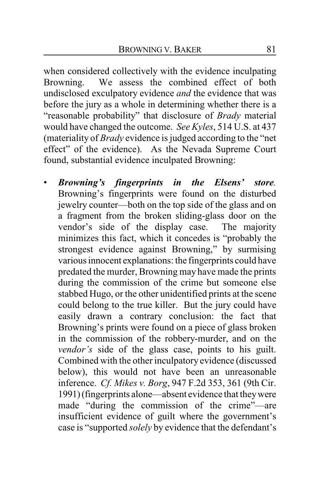when considered collectively with the evidence inculpating Browning. We assess the combined effect of both undisclosed exculpatory evidence *and* the evidence that was before the jury as a whole in determining whether there is a "reasonable probability" that disclosure of *Brady* material would have changed the outcome. *See Kyles*, 514 U.S. at 437 (materiality of *Brady* evidence is judged according to the "net effect" of the evidence). As the Nevada Supreme Court found, substantial evidence inculpated Browning:

• *Browning's fingerprints in the Elsens' store.*  Browning's fingerprints were found on the disturbed jewelry counter—both on the top side of the glass and on a fragment from the broken sliding-glass door on the vendor's side of the display case. The majority minimizes this fact, which it concedes is "probably the strongest evidence against Browning," by surmising various innocent explanations: the fingerprints could have predated the murder, Browning may have made the prints during the commission of the crime but someone else stabbed Hugo, or the other unidentified prints at the scene could belong to the true killer. But the jury could have easily drawn a contrary conclusion: the fact that Browning's prints were found on a piece of glass broken in the commission of the robbery-murder, and on the *vendor's* side of the glass case, points to his guilt. Combined with the other inculpatory evidence (discussed below), this would not have been an unreasonable inference. *Cf. Mikes v. Borg*, 947 F.2d 353, 361 (9th Cir. 1991)(fingerprints alone—absent evidence that theywere made "during the commission of the crime"—are insufficient evidence of guilt where the government's case is "supported *solely* by evidence that the defendant's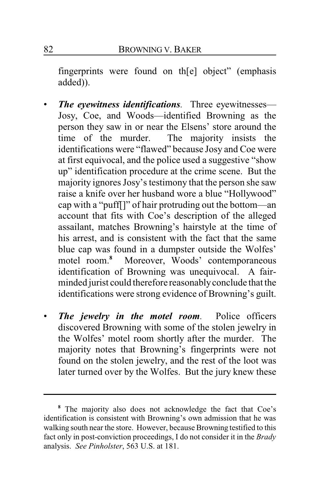fingerprints were found on th[e] object" (emphasis added)).

- *The eyewitness identifications.* Three eyewitnesses— Josy, Coe, and Woods—identified Browning as the person they saw in or near the Elsens' store around the time of the murder. The majority insists the The majority insists the identifications were "flawed" because Josy and Coe were at first equivocal, and the police used a suggestive "show up" identification procedure at the crime scene. But the majority ignores Josy's testimony that the person she saw raise a knife over her husband wore a blue "Hollywood" cap with a "puff[]" of hair protruding out the bottom—an account that fits with Coe's description of the alleged assailant, matches Browning's hairstyle at the time of his arrest, and is consistent with the fact that the same blue cap was found in a dumpster outside the Wolfes' motel room. **<sup>8</sup>** Moreover, Woods' contemporaneous identification of Browning was unequivocal. A fairminded jurist could therefore reasonablyconclude that the identifications were strong evidence of Browning's guilt.
- *The jewelry in the motel room.* Police officers discovered Browning with some of the stolen jewelry in the Wolfes' motel room shortly after the murder. The majority notes that Browning's fingerprints were not found on the stolen jewelry, and the rest of the loot was later turned over by the Wolfes. But the jury knew these

**<sup>8</sup>** The majority also does not acknowledge the fact that Coe's identification is consistent with Browning's own admission that he was walking south near the store. However, because Browning testified to this fact only in post-conviction proceedings, I do not consider it in the *Brady* analysis. *See Pinholster*, 563 U.S. at 181.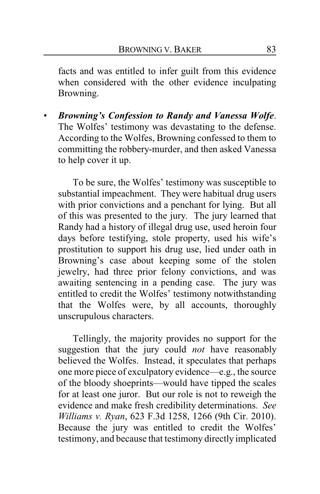facts and was entitled to infer guilt from this evidence when considered with the other evidence inculpating Browning.

• *Browning's Confession to Randy and Vanessa Wolfe*. The Wolfes' testimony was devastating to the defense. According to the Wolfes, Browning confessed to them to committing the robbery-murder, and then asked Vanessa to help cover it up.

To be sure, the Wolfes' testimony was susceptible to substantial impeachment. They were habitual drug users with prior convictions and a penchant for lying. But all of this was presented to the jury. The jury learned that Randy had a history of illegal drug use, used heroin four days before testifying, stole property, used his wife's prostitution to support his drug use, lied under oath in Browning's case about keeping some of the stolen jewelry, had three prior felony convictions, and was awaiting sentencing in a pending case. The jury was entitled to credit the Wolfes' testimony notwithstanding that the Wolfes were, by all accounts, thoroughly unscrupulous characters.

Tellingly, the majority provides no support for the suggestion that the jury could *not* have reasonably believed the Wolfes. Instead, it speculates that perhaps one more piece of exculpatory evidence—e.g., the source of the bloody shoeprints—would have tipped the scales for at least one juror. But our role is not to reweigh the evidence and make fresh credibility determinations. *See Williams v. Ryan*, 623 F.3d 1258, 1266 (9th Cir. 2010). Because the jury was entitled to credit the Wolfes' testimony, and because that testimony directly implicated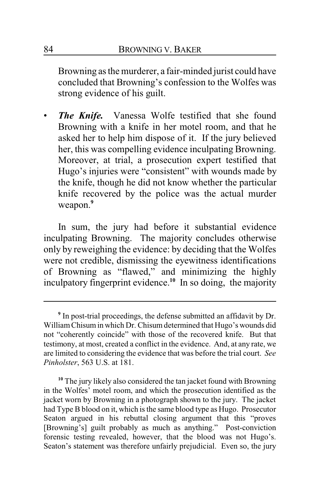Browning as the murderer, a fair-minded jurist could have concluded that Browning's confession to the Wolfes was strong evidence of his guilt.

• *The Knife.* Vanessa Wolfe testified that she found Browning with a knife in her motel room, and that he asked her to help him dispose of it. If the jury believed her, this was compelling evidence inculpating Browning. Moreover, at trial, a prosecution expert testified that Hugo's injuries were "consistent" with wounds made by the knife, though he did not know whether the particular knife recovered by the police was the actual murder weapon.**<sup>9</sup>**

In sum, the jury had before it substantial evidence inculpating Browning. The majority concludes otherwise only by reweighing the evidence: by deciding that the Wolfes were not credible, dismissing the eyewitness identifications of Browning as "flawed," and minimizing the highly inculpatory fingerprint evidence.**<sup>10</sup>** In so doing, the majority

**<sup>9</sup>** In post-trial proceedings, the defense submitted an affidavit by Dr. WilliamChisumin which Dr. Chisum determined that Hugo's wounds did not "coherently coincide" with those of the recovered knife. But that testimony, at most, created a conflict in the evidence. And, at any rate, we are limited to considering the evidence that was before the trial court. *See Pinholster*, 563 U.S. at 181.

**<sup>10</sup>** The jury likely also considered the tan jacket found with Browning in the Wolfes' motel room, and which the prosecution identified as the jacket worn by Browning in a photograph shown to the jury. The jacket had Type B blood on it, which is the same blood type as Hugo. Prosecutor Seaton argued in his rebuttal closing argument that this "proves [Browning's] guilt probably as much as anything." Post-conviction forensic testing revealed, however, that the blood was not Hugo's. Seaton's statement was therefore unfairly prejudicial. Even so, the jury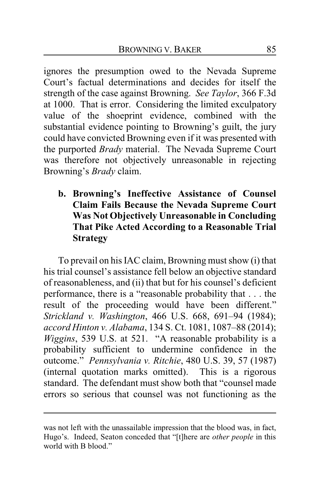ignores the presumption owed to the Nevada Supreme Court's factual determinations and decides for itself the strength of the case against Browning. *See Taylor*, 366 F.3d at 1000. That is error. Considering the limited exculpatory value of the shoeprint evidence, combined with the substantial evidence pointing to Browning's guilt, the jury could have convicted Browning even if it was presented with the purported *Brady* material. The Nevada Supreme Court was therefore not objectively unreasonable in rejecting Browning's *Brady* claim.

**b. Browning's Ineffective Assistance of Counsel Claim Fails Because the Nevada Supreme Court Was Not Objectively Unreasonable in Concluding That Pike Acted According to a Reasonable Trial Strategy**

To prevail on his IAC claim, Browning must show (i) that his trial counsel's assistance fell below an objective standard of reasonableness, and (ii) that but for his counsel's deficient performance, there is a "reasonable probability that . . . the result of the proceeding would have been different." *Strickland v. Washington*, 466 U.S. 668, 691–94 (1984); *accord Hinton v. Alabama*, 134 S. Ct. 1081, 1087–88 (2014); *Wiggins*, 539 U.S. at 521. "A reasonable probability is a probability sufficient to undermine confidence in the outcome." *Pennsylvania v. Ritchie*, 480 U.S. 39, 57 (1987) (internal quotation marks omitted). This is a rigorous standard. The defendant must show both that "counsel made errors so serious that counsel was not functioning as the

was not left with the unassailable impression that the blood was, in fact, Hugo's. Indeed, Seaton conceded that "[t]here are *other people* in this world with B blood."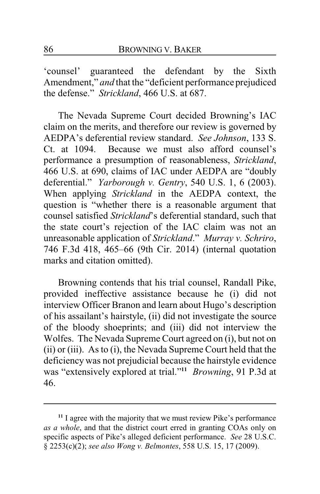'counsel' guaranteed the defendant by the Sixth Amendment," *and* that the "deficient performance prejudiced the defense." *Strickland*, 466 U.S. at 687.

The Nevada Supreme Court decided Browning's IAC claim on the merits, and therefore our review is governed by AEDPA's deferential review standard. *See Johnson*, 133 S. Ct. at 1094. Because we must also afford counsel's performance a presumption of reasonableness, *Strickland*, 466 U.S. at 690, claims of IAC under AEDPA are "doubly deferential." *Yarborough v. Gentry*, 540 U.S. 1, 6 (2003). When applying *Strickland* in the AEDPA context, the question is "whether there is a reasonable argument that counsel satisfied *Strickland*'s deferential standard, such that the state court's rejection of the IAC claim was not an unreasonable application of *Strickland*." *Murray v. Schriro*, 746 F.3d 418, 465–66 (9th Cir. 2014) (internal quotation marks and citation omitted).

Browning contends that his trial counsel, Randall Pike, provided ineffective assistance because he (i) did not interview Officer Branon and learn about Hugo's description of his assailant's hairstyle, (ii) did not investigate the source of the bloody shoeprints; and (iii) did not interview the Wolfes. The Nevada Supreme Court agreed on (i), but not on (ii) or (iii). As to (i), the Nevada Supreme Court held that the deficiency was not prejudicial because the hairstyle evidence was "extensively explored at trial."**<sup>11</sup>** *Browning*, 91 P.3d at 46.

**<sup>11</sup>** I agree with the majority that we must review Pike's performance *as a whole*, and that the district court erred in granting COAs only on specific aspects of Pike's alleged deficient performance. *See* 28 U.S.C. § 2253(c)(2); *see also Wong v. Belmontes*, 558 U.S. 15, 17 (2009).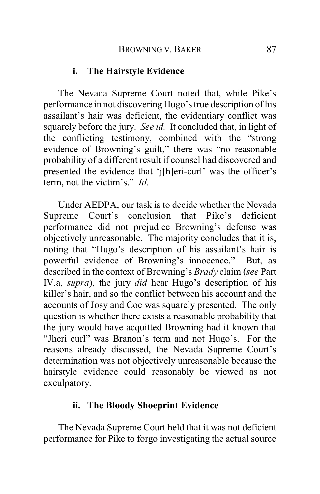## **i. The Hairstyle Evidence**

The Nevada Supreme Court noted that, while Pike's performance in not discovering Hugo's true description of his assailant's hair was deficient, the evidentiary conflict was squarely before the jury. *See id.* It concluded that, in light of the conflicting testimony, combined with the "strong evidence of Browning's guilt," there was "no reasonable probability of a different result if counsel had discovered and presented the evidence that 'j[h]eri-curl' was the officer's term, not the victim's." *Id.*

Under AEDPA, our task is to decide whether the Nevada Supreme Court's conclusion that Pike's deficient performance did not prejudice Browning's defense was objectively unreasonable. The majority concludes that it is, noting that "Hugo's description of his assailant's hair is powerful evidence of Browning's innocence." But, as described in the context of Browning's *Brady* claim (*see* Part IV.a, *supra*), the jury *did* hear Hugo's description of his killer's hair, and so the conflict between his account and the accounts of Josy and Coe was squarely presented. The only question is whether there exists a reasonable probability that the jury would have acquitted Browning had it known that "Jheri curl" was Branon's term and not Hugo's. For the reasons already discussed, the Nevada Supreme Court's determination was not objectively unreasonable because the hairstyle evidence could reasonably be viewed as not exculpatory.

## **ii. The Bloody Shoeprint Evidence**

The Nevada Supreme Court held that it was not deficient performance for Pike to forgo investigating the actual source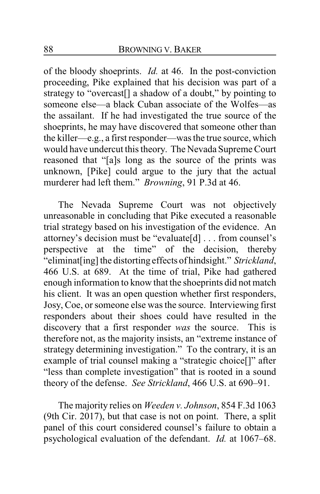of the bloody shoeprints. *Id.* at 46. In the post-conviction proceeding, Pike explained that his decision was part of a strategy to "overcast[] a shadow of a doubt," by pointing to someone else—a black Cuban associate of the Wolfes—as the assailant. If he had investigated the true source of the shoeprints, he may have discovered that someone other than the killer—e.g., a first responder—was the true source, which would have undercut this theory. The Nevada Supreme Court reasoned that "[a]s long as the source of the prints was unknown, [Pike] could argue to the jury that the actual murderer had left them." *Browning*, 91 P.3d at 46.

The Nevada Supreme Court was not objectively unreasonable in concluding that Pike executed a reasonable trial strategy based on his investigation of the evidence. An attorney's decision must be "evaluate[d] . . . from counsel's perspective at the time" of the decision, thereby "eliminat[ing] the distorting effects of hindsight." *Strickland*, 466 U.S. at 689. At the time of trial, Pike had gathered enough information to know that the shoeprints did not match his client. It was an open question whether first responders, Josy, Coe, or someone else was the source. Interviewing first responders about their shoes could have resulted in the discovery that a first responder *was* the source. This is therefore not, as the majority insists, an "extreme instance of strategy determining investigation." To the contrary, it is an example of trial counsel making a "strategic choice[]" after "less than complete investigation" that is rooted in a sound theory of the defense. *See Strickland*, 466 U.S. at 690–91.

The majority relies on *Weeden v. Johnson*, 854 F.3d 1063 (9th Cir. 2017), but that case is not on point. There, a split panel of this court considered counsel's failure to obtain a psychological evaluation of the defendant. *Id.* at 1067–68.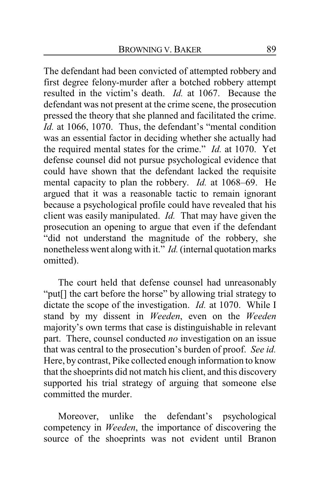The defendant had been convicted of attempted robbery and first degree felony-murder after a botched robbery attempt resulted in the victim's death. *Id.* at 1067. Because the defendant was not present at the crime scene, the prosecution pressed the theory that she planned and facilitated the crime. *Id.* at 1066, 1070. Thus, the defendant's "mental condition was an essential factor in deciding whether she actually had the required mental states for the crime." *Id.* at 1070. Yet defense counsel did not pursue psychological evidence that could have shown that the defendant lacked the requisite mental capacity to plan the robbery. *Id.* at 1068–69. He argued that it was a reasonable tactic to remain ignorant because a psychological profile could have revealed that his client was easily manipulated. *Id.* That may have given the prosecution an opening to argue that even if the defendant "did not understand the magnitude of the robbery, she nonetheless went along with it." *Id.*(internal quotation marks omitted).

The court held that defense counsel had unreasonably "put[] the cart before the horse" by allowing trial strategy to dictate the scope of the investigation. *Id.* at 1070. While I stand by my dissent in *Weeden*, even on the *Weeden* majority's own terms that case is distinguishable in relevant part. There, counsel conducted *no* investigation on an issue that was central to the prosecution's burden of proof. *See id.* Here, by contrast, Pike collected enough information to know that the shoeprints did not match his client, and this discovery supported his trial strategy of arguing that someone else committed the murder.

Moreover, unlike the defendant's psychological competency in *Weeden*, the importance of discovering the source of the shoeprints was not evident until Branon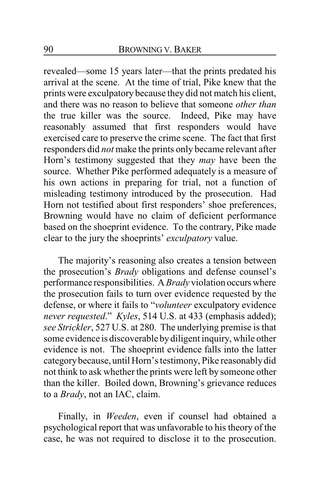revealed—some 15 years later—that the prints predated his arrival at the scene. At the time of trial, Pike knew that the prints were exculpatory because they did not match his client, and there was no reason to believe that someone *other than* the true killer was the source. Indeed, Pike may have reasonably assumed that first responders would have exercised care to preserve the crime scene. The fact that first responders did *not* make the prints only became relevant after Horn's testimony suggested that they *may* have been the source. Whether Pike performed adequately is a measure of his own actions in preparing for trial, not a function of misleading testimony introduced by the prosecution. Had Horn not testified about first responders' shoe preferences, Browning would have no claim of deficient performance based on the shoeprint evidence. To the contrary, Pike made clear to the jury the shoeprints' *exculpatory* value.

The majority's reasoning also creates a tension between the prosecution's *Brady* obligations and defense counsel's performance responsibilities. A*Brady* violation occurswhere the prosecution fails to turn over evidence requested by the defense, or where it fails to "*volunteer* exculpatory evidence *never requested*." *Kyles*, 514 U.S. at 433 (emphasis added); *see Strickler*, 527 U.S. at 280. The underlying premise is that some evidence is discoverable by diligent inquiry, while other evidence is not. The shoeprint evidence falls into the latter categorybecause, until Horn's testimony, Pike reasonablydid not think to ask whether the prints were left by someone other than the killer. Boiled down, Browning's grievance reduces to a *Brady*, not an IAC, claim.

Finally, in *Weeden*, even if counsel had obtained a psychological report that was unfavorable to his theory of the case, he was not required to disclose it to the prosecution.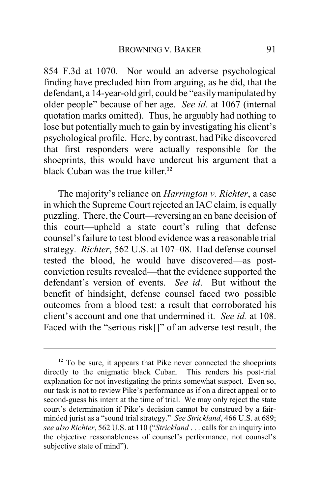854 F.3d at 1070. Nor would an adverse psychological finding have precluded him from arguing, as he did, that the defendant, a 14-year-old girl, could be "easilymanipulated by older people" because of her age. *See id.* at 1067 (internal quotation marks omitted). Thus, he arguably had nothing to lose but potentially much to gain by investigating his client's psychological profile. Here, by contrast, had Pike discovered that first responders were actually responsible for the shoeprints, this would have undercut his argument that a black Cuban was the true killer.**<sup>12</sup>**

The majority's reliance on *Harrington v. Richter*, a case in which the Supreme Court rejected an IAC claim, is equally puzzling. There, the Court—reversing an en banc decision of this court—upheld a state court's ruling that defense counsel's failure to test blood evidence was a reasonable trial strategy. *Richter*, 562 U.S. at 107–08. Had defense counsel tested the blood, he would have discovered—as postconviction results revealed—that the evidence supported the defendant's version of events. *See id*. But without the benefit of hindsight, defense counsel faced two possible outcomes from a blood test: a result that corroborated his client's account and one that undermined it. *See id.* at 108. Faced with the "serious risk[]" of an adverse test result, the

**<sup>12</sup>** To be sure, it appears that Pike never connected the shoeprints directly to the enigmatic black Cuban. This renders his post-trial explanation for not investigating the prints somewhat suspect. Even so, our task is not to review Pike's performance as if on a direct appeal or to second-guess his intent at the time of trial. We may only reject the state court's determination if Pike's decision cannot be construed by a fairminded jurist as a "sound trial strategy." *See Strickland*, 466 U.S. at 689; *see also Richter*, 562 U.S. at 110 ("*Strickland* . . . calls for an inquiry into the objective reasonableness of counsel's performance, not counsel's subjective state of mind").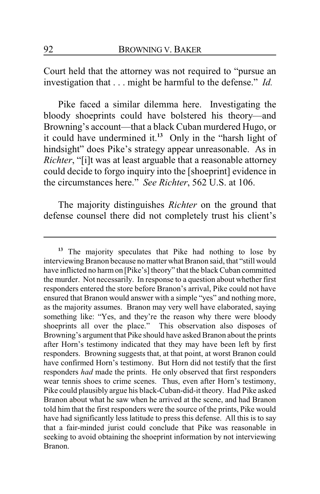Court held that the attorney was not required to "pursue an investigation that . . . might be harmful to the defense." *Id.*

Pike faced a similar dilemma here. Investigating the bloody shoeprints could have bolstered his theory—and Browning's account—that a black Cuban murdered Hugo, or it could have undermined it.**<sup>13</sup>** Only in the "harsh light of hindsight" does Pike's strategy appear unreasonable. As in *Richter*, "[i]t was at least arguable that a reasonable attorney could decide to forgo inquiry into the [shoeprint] evidence in the circumstances here." *See Richter*, 562 U.S. at 106.

The majority distinguishes *Richter* on the ground that defense counsel there did not completely trust his client's

**<sup>13</sup>** The majority speculates that Pike had nothing to lose by interviewing Branon because no matter what Branon said, that "still would have inflicted no harm on [Pike's] theory" that the black Cuban committed the murder. Not necessarily. In response to a question about whether first responders entered the store before Branon's arrival, Pike could not have ensured that Branon would answer with a simple "yes" and nothing more, as the majority assumes. Branon may very well have elaborated, saying something like: "Yes, and they're the reason why there were bloody shoeprints all over the place." This observation also disposes of Browning's argument that Pike should have asked Branon about the prints after Horn's testimony indicated that they may have been left by first responders. Browning suggests that, at that point, at worst Branon could have confirmed Horn's testimony. But Horn did not testify that the first responders *had* made the prints. He only observed that first responders wear tennis shoes to crime scenes. Thus, even after Horn's testimony, Pike could plausibly argue his black-Cuban-did-it theory. Had Pike asked Branon about what he saw when he arrived at the scene, and had Branon told him that the first responders were the source of the prints, Pike would have had significantly less latitude to press this defense. All this is to say that a fair-minded jurist could conclude that Pike was reasonable in seeking to avoid obtaining the shoeprint information by not interviewing Branon.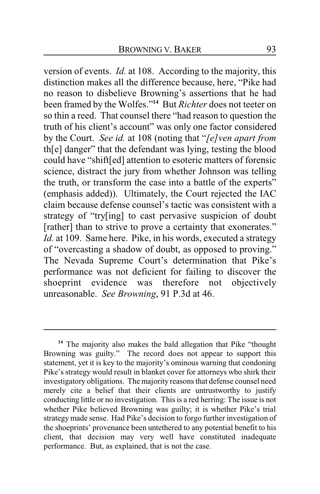version of events. *Id.* at 108. According to the majority, this distinction makes all the difference because, here, "Pike had no reason to disbelieve Browning's assertions that he had been framed by the Wolfes."**<sup>14</sup>** But *Richter* does not teeter on so thin a reed. That counsel there "had reason to question the truth of his client's account" was only one factor considered by the Court. *See id.* at 108 (noting that "*[e]ven apart from* th[e] danger" that the defendant was lying, testing the blood could have "shift[ed] attention to esoteric matters of forensic science, distract the jury from whether Johnson was telling the truth, or transform the case into a battle of the experts" (emphasis added)). Ultimately, the Court rejected the IAC claim because defense counsel's tactic was consistent with a strategy of "try[ing] to cast pervasive suspicion of doubt [rather] than to strive to prove a certainty that exonerates." *Id.* at 109. Same here. Pike, in his words, executed a strategy of "overcasting a shadow of doubt, as opposed to proving." The Nevada Supreme Court's determination that Pike's performance was not deficient for failing to discover the shoeprint evidence was therefore not objectively unreasonable. *See Browning*, 91 P.3d at 46.

**<sup>14</sup>** The majority also makes the bald allegation that Pike "thought Browning was guilty." The record does not appear to support this statement, yet it is key to the majority's ominous warning that condoning Pike's strategy would result in blanket cover for attorneys who shirk their investigatory obligations. The majority reasons that defense counsel need merely cite a belief that their clients are untrustworthy to justify conducting little or no investigation. This is a red herring: The issue is not whether Pike believed Browning was guilty; it is whether Pike's trial strategy made sense. Had Pike's decision to forgo further investigation of the shoeprints' provenance been untethered to any potential benefit to his client, that decision may very well have constituted inadequate performance. But, as explained, that is not the case.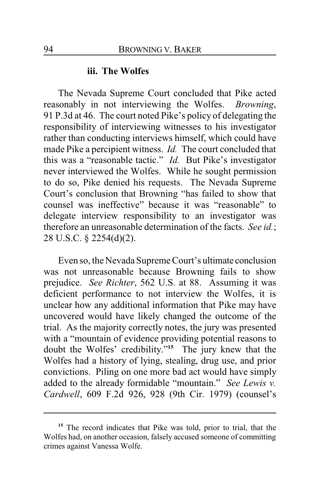#### **iii. The Wolfes**

The Nevada Supreme Court concluded that Pike acted reasonably in not interviewing the Wolfes. *Browning*, 91 P.3d at 46. The court noted Pike's policy of delegating the responsibility of interviewing witnesses to his investigator rather than conducting interviews himself, which could have made Pike a percipient witness. *Id.* The court concluded that this was a "reasonable tactic." *Id.* But Pike's investigator never interviewed the Wolfes. While he sought permission to do so, Pike denied his requests. The Nevada Supreme Court's conclusion that Browning "has failed to show that counsel was ineffective" because it was "reasonable" to delegate interview responsibility to an investigator was therefore an unreasonable determination of the facts. *See id.*; 28 U.S.C. § 2254(d)(2).

Even so, the Nevada Supreme Court's ultimate conclusion was not unreasonable because Browning fails to show prejudice. *See Richter*, 562 U.S. at 88. Assuming it was deficient performance to not interview the Wolfes, it is unclear how any additional information that Pike may have uncovered would have likely changed the outcome of the trial. As the majority correctly notes, the jury was presented with a "mountain of evidence providing potential reasons to doubt the Wolfes' credibility."**<sup>15</sup>** The jury knew that the Wolfes had a history of lying, stealing, drug use, and prior convictions. Piling on one more bad act would have simply added to the already formidable "mountain." *See Lewis v. Cardwell*, 609 F.2d 926, 928 (9th Cir. 1979) (counsel's

**<sup>15</sup>** The record indicates that Pike was told, prior to trial, that the Wolfes had, on another occasion, falsely accused someone of committing crimes against Vanessa Wolfe.